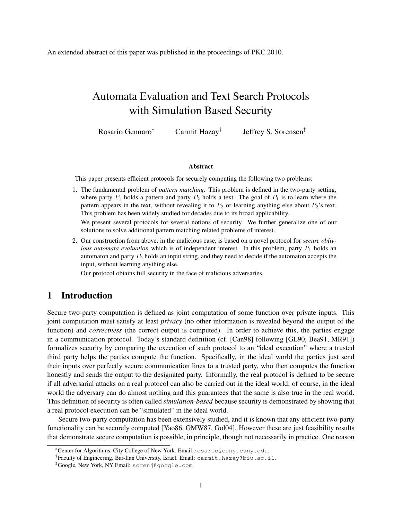An extended abstract of this paper was published in the proceedings of PKC 2010.

# Automata Evaluation and Text Search Protocols with Simulation Based Security

Rosario Gennaro<sup>∗</sup> Carmit Hazay† Jeffrey S. Sorensen‡

#### Abstract

This paper presents efficient protocols for securely computing the following two problems:

1. The fundamental problem of *pattern matching*. This problem is defined in the two-party setting, where party  $P_1$  holds a pattern and party  $P_2$  holds a text. The goal of  $P_1$  is to learn where the pattern appears in the text, without revealing it to  $P_2$  or learning anything else about  $P_2$ 's text. This problem has been widely studied for decades due to its broad applicability.

We present several protocols for several notions of security. We further generalize one of our solutions to solve additional pattern matching related problems of interest.

2. Our construction from above, in the malicious case, is based on a novel protocol for *secure oblivious automata evaluation* which is of independent interest. In this problem, party  $P_1$  holds an automaton and party  $P_2$  holds an input string, and they need to decide if the automaton accepts the input, without learning anything else.

Our protocol obtains full security in the face of malicious adversaries.

# 1 Introduction

Secure two-party computation is defined as joint computation of some function over private inputs. This joint computation must satisfy at least *privacy* (no other information is revealed beyond the output of the function) and *correctness* (the correct output is computed). In order to achieve this, the parties engage in a communication protocol. Today's standard definition (cf. [Can98] following [GL90, Bea91, MR91]) formalizes security by comparing the execution of such protocol to an "ideal execution" where a trusted third party helps the parties compute the function. Specifically, in the ideal world the parties just send their inputs over perfectly secure communication lines to a trusted party, who then computes the function honestly and sends the output to the designated party. Informally, the real protocol is defined to be secure if all adversarial attacks on a real protocol can also be carried out in the ideal world; of course, in the ideal world the adversary can do almost nothing and this guarantees that the same is also true in the real world. This definition of security is often called *simulation-based* because security is demonstrated by showing that a real protocol execution can be "simulated" in the ideal world.

Secure two-party computation has been extensively studied, and it is known that any efficient two-party functionality can be securely computed [Yao86, GMW87, Gol04]. However these are just feasibility results that demonstrate secure computation is possible, in principle, though not necessarily in practice. One reason

<sup>∗</sup>Center for Algorithms, City College of New York. Email:rosario@ccny.cuny.edu.

<sup>†</sup> Faculty of Engineering, Bar-Ilan University, Israel. Email: carmit.hazay@biu.ac.il.

<sup>‡</sup>Google, New York, NY Email: sorenj@google.com.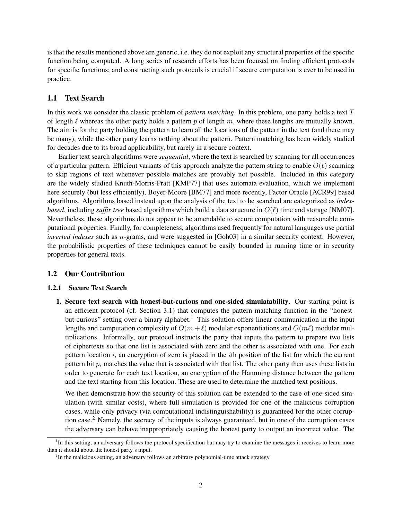is that the results mentioned above are generic, i.e. they do not exploit any structural properties of the specific function being computed. A long series of research efforts has been focused on finding efficient protocols for specific functions; and constructing such protocols is crucial if secure computation is ever to be used in practice.

### 1.1 Text Search

In this work we consider the classic problem of *pattern matching*. In this problem, one party holds a text T of length  $\ell$  whereas the other party holds a pattern p of length m, where these lengths are mutually known. The aim is for the party holding the pattern to learn all the locations of the pattern in the text (and there may be many), while the other party learns nothing about the pattern. Pattern matching has been widely studied for decades due to its broad applicability, but rarely in a secure context.

Earlier text search algorithms were *sequential*, where the text is searched by scanning for all occurrences of a particular pattern. Efficient variants of this approach analyze the pattern string to enable  $O(\ell)$  scanning to skip regions of text whenever possible matches are provably not possible. Included in this category are the widely studied Knuth-Morris-Pratt [KMP77] that uses automata evaluation, which we implement here securely (but less efficiently), Boyer-Moore [BM77] and more recently, Factor Oracle [ACR99] based algorithms. Algorithms based instead upon the analysis of the text to be searched are categorized as *indexbased*, including *suffix tree* based algorithms which build a data structure in  $O(\ell)$  time and storage [NM07]. Nevertheless, these algorithms do not appear to be amendable to secure computation with reasonable computational properties. Finally, for completeness, algorithms used frequently for natural languages use partial *inverted indexes* such as *n*-grams, and were suggested in [Goh03] in a similar security context. However, the probabilistic properties of these techniques cannot be easily bounded in running time or in security properties for general texts.

### 1.2 Our Contribution

#### 1.2.1 Secure Text Search

1. Secure text search with honest-but-curious and one-sided simulatability. Our starting point is an efficient protocol (cf. Section 3.1) that computes the pattern matching function in the "honestbut-curious" setting over a binary alphabet.<sup>1</sup> This solution offers linear communication in the input lengths and computation complexity of  $O(m + \ell)$  modular exponentiations and  $O(m\ell)$  modular multiplications. Informally, our protocol instructs the party that inputs the pattern to prepare two lists of ciphertexts so that one list is associated with zero and the other is associated with one. For each pattern location  $i$ , an encryption of zero is placed in the  $i$ th position of the list for which the current pattern bit  $p_i$  matches the value that is associated with that list. The other party then uses these lists in order to generate for each text location, an encryption of the Hamming distance between the pattern and the text starting from this location. These are used to determine the matched text positions.

We then demonstrate how the security of this solution can be extended to the case of one-sided simulation (with similar costs), where full simulation is provided for one of the malicious corruption cases, while only privacy (via computational indistinguishability) is guaranteed for the other corruption case.<sup>2</sup> Namely, the secrecy of the inputs is always guaranteed, but in one of the corruption cases the adversary can behave inappropriately causing the honest party to output an incorrect value. The

<sup>&</sup>lt;sup>1</sup>In this setting, an adversary follows the protocol specification but may try to examine the messages it receives to learn more than it should about the honest party's input.

 $2$ In the malicious setting, an adversary follows an arbitrary polynomial-time attack strategy.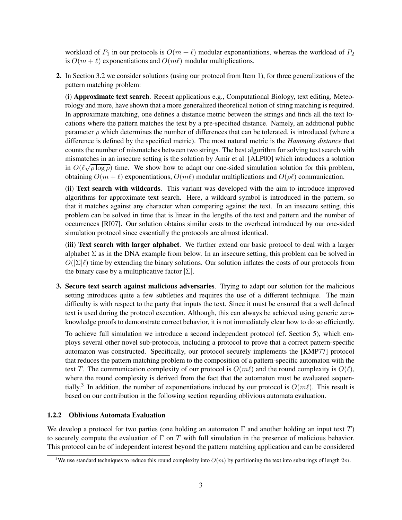workload of  $P_1$  in our protocols is  $O(m + \ell)$  modular exponentiations, whereas the workload of  $P_2$ is  $O(m + \ell)$  exponentiations and  $O(m\ell)$  modular multiplications.

2. In Section 3.2 we consider solutions (using our protocol from Item 1), for three generalizations of the pattern matching problem:

(i) Approximate text search. Recent applications e.g., Computational Biology, text editing, Meteorology and more, have shown that a more generalized theoretical notion of string matching is required. In approximate matching, one defines a distance metric between the strings and finds all the text locations where the pattern matches the text by a pre-specified distance. Namely, an additional public parameter  $\rho$  which determines the number of differences that can be tolerated, is introduced (where a difference is defined by the specified metric). The most natural metric is the *Hamming distance* that counts the number of mismatches between two strings. The best algorithm for solving text search with mismatches in an insecure setting is the solution by Amir et al. [ALP00] which introduces a solution in  $O(\ell \sqrt{\rho \log \rho})$  time. We show how to adapt our one-sided simulation solution for this problem, obtaining  $O(m + \ell)$  exponentiations,  $O(m\ell)$  modular multiplications and  $O(\rho\ell)$  communication.

(ii) Text search with wildcards. This variant was developed with the aim to introduce improved algorithms for approximate text search. Here, a wildcard symbol is introduced in the pattern, so that it matches against any character when comparing against the text. In an insecure setting, this problem can be solved in time that is linear in the lengths of the text and pattern and the number of occurrences [RI07]. Our solution obtains similar costs to the overhead introduced by our one-sided simulation protocol since essentially the protocols are almost identical.

(iii) Text search with larger alphabet. We further extend our basic protocol to deal with a larger alphabet  $\Sigma$  as in the DNA example from below. In an insecure setting, this problem can be solved in  $O(|\Sigma|\ell)$  time by extending the binary solutions. Our solution inflates the costs of our protocols from the binary case by a multiplicative factor  $|\Sigma|$ .

3. Secure text search against malicious adversaries. Trying to adapt our solution for the malicious setting introduces quite a few subtleties and requires the use of a different technique. The main difficulty is with respect to the party that inputs the text. Since it must be ensured that a well defined text is used during the protocol execution. Although, this can always be achieved using generic zeroknowledge proofs to demonstrate correct behavior, it is not immediately clear how to do so efficiently.

To achieve full simulation we introduce a second independent protocol (cf. Section 5), which employs several other novel sub-protocols, including a protocol to prove that a correct pattern-specific automaton was constructed. Specifically, our protocol securely implements the [KMP77] protocol that reduces the pattern matching problem to the composition of a pattern-specific automaton with the text T. The communication complexity of our protocol is  $O(m\ell)$  and the round complexity is  $O(\ell)$ , where the round complexity is derived from the fact that the automaton must be evaluated sequentially.<sup>3</sup> In addition, the number of exponentiations induced by our protocol is  $O(m\ell)$ . This result is based on our contribution in the following section regarding oblivious automata evaluation.

### 1.2.2 Oblivious Automata Evaluation

We develop a protocol for two parties (one holding an automaton  $\Gamma$  and another holding an input text T) to securely compute the evaluation of  $\Gamma$  on  $T$  with full simulation in the presence of malicious behavior. This protocol can be of independent interest beyond the pattern matching application and can be considered

<sup>&</sup>lt;sup>3</sup>We use standard techniques to reduce this round complexity into  $O(m)$  by partitioning the text into substrings of length  $2m$ .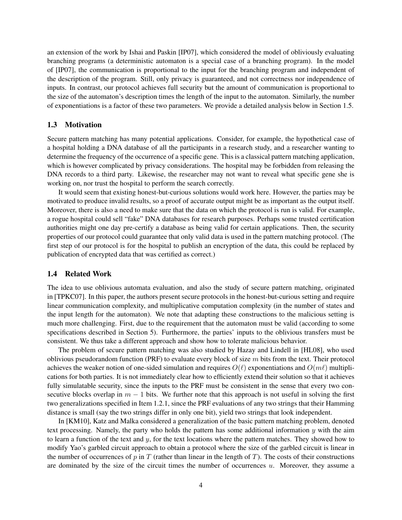an extension of the work by Ishai and Paskin [IP07], which considered the model of obliviously evaluating branching programs (a deterministic automaton is a special case of a branching program). In the model of [IP07], the communication is proportional to the input for the branching program and independent of the description of the program. Still, only privacy is guaranteed, and not correctness nor independence of inputs. In contrast, our protocol achieves full security but the amount of communication is proportional to the size of the automaton's description times the length of the input to the automaton. Similarly, the number of exponentiations is a factor of these two parameters. We provide a detailed analysis below in Section 1.5.

### 1.3 Motivation

Secure pattern matching has many potential applications. Consider, for example, the hypothetical case of a hospital holding a DNA database of all the participants in a research study, and a researcher wanting to determine the frequency of the occurrence of a specific gene. This is a classical pattern matching application, which is however complicated by privacy considerations. The hospital may be forbidden from releasing the DNA records to a third party. Likewise, the researcher may not want to reveal what specific gene she is working on, nor trust the hospital to perform the search correctly.

It would seem that existing honest-but-curious solutions would work here. However, the parties may be motivated to produce invalid results, so a proof of accurate output might be as important as the output itself. Moreover, there is also a need to make sure that the data on which the protocol is run is valid. For example, a rogue hospital could sell "fake" DNA databases for research purposes. Perhaps some trusted certification authorities might one day pre-certify a database as being valid for certain applications. Then, the security properties of our protocol could guarantee that only valid data is used in the pattern matching protocol. (The first step of our protocol is for the hospital to publish an encryption of the data, this could be replaced by publication of encrypted data that was certified as correct.)

### 1.4 Related Work

The idea to use oblivious automata evaluation, and also the study of secure pattern matching, originated in [TPKC07]. In this paper, the authors present secure protocols in the honest-but-curious setting and require linear communication complexity, and multiplicative computation complexity (in the number of states and the input length for the automaton). We note that adapting these constructions to the malicious setting is much more challenging. First, due to the requirement that the automaton must be valid (according to some specifications described in Section 5). Furthermore, the parties' inputs to the oblivious transfers must be consistent. We thus take a different approach and show how to tolerate malicious behavior.

The problem of secure pattern matching was also studied by Hazay and Lindell in [HL08], who used oblivious pseudorandom function (PRF) to evaluate every block of size  $m$  bits from the text. Their protocol achieves the weaker notion of one-sided simulation and requires  $O(\ell)$  exponentiations and  $O(m\ell)$  multiplications for both parties. It is not immediately clear how to efficiently extend their solution so that it achieves fully simulatable security, since the inputs to the PRF must be consistent in the sense that every two consecutive blocks overlap in  $m - 1$  bits. We further note that this approach is not useful in solving the first two generalizations specified in Item 1.2.1, since the PRF evaluations of any two strings that their Hamming distance is small (say the two strings differ in only one bit), yield two strings that look independent.

In [KM10], Katz and Malka considered a generalization of the basic pattern matching problem, denoted text processing. Namely, the party who holds the pattern has some additional information  $y$  with the aim to learn a function of the text and y, for the text locations where the pattern matches. They showed how to modify Yao's garbled circuit approach to obtain a protocol where the size of the garbled circuit is linear in the number of occurrences of p in  $T$  (rather than linear in the length of  $T$ ). The costs of their constructions are dominated by the size of the circuit times the number of occurrences  $u$ . Moreover, they assume a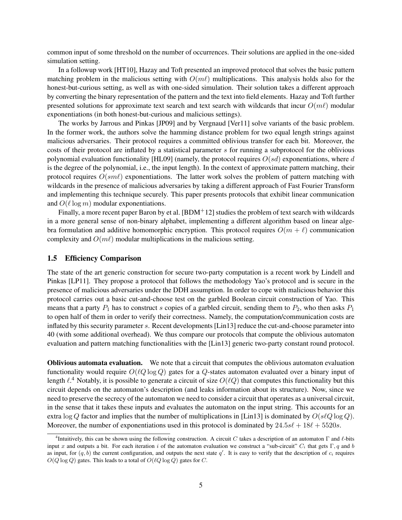common input of some threshold on the number of occurrences. Their solutions are applied in the one-sided simulation setting.

In a followup work [HT10], Hazay and Toft presented an improved protocol that solves the basic pattern matching problem in the malicious setting with  $O(m\ell)$  multiplications. This analysis holds also for the honest-but-curious setting, as well as with one-sided simulation. Their solution takes a different approach by converting the binary representation of the pattern and the text into field elements. Hazay and Toft further presented solutions for approximate text search and text search with wildcards that incur  $O(m\ell)$  modular exponentiations (in both honest-but-curious and malicious settings).

The works by Jarrous and Pinkas [JP09] and by Vergnaud [Ver11] solve variants of the basic problem. In the former work, the authors solve the hamming distance problem for two equal length strings against malicious adversaries. Their protocol requires a committed oblivious transfer for each bit. Moreover, the costs of their protocol are inflated by a statistical parameter s for running a subprotocol for the oblivious polynomial evaluation functionality [HL09] (namely, the protocol requires  $O(sd)$  exponentiations, where d is the degree of the polynomial, i.e., the input length). In the context of approximate pattern matching, their protocol requires  $O(s m\ell)$  exponentiations. The latter work solves the problem of pattern matching with wildcards in the presence of malicious adversaries by taking a different approach of Fast Fourier Transform and implementing this technique securely. This paper presents protocols that exhibit linear communication and  $O(\ell \log m)$  modular exponentiations.

Finally, a more recent paper Baron by et al.  $[BDM<sup>+</sup>12]$  studies the problem of text search with wildcards in a more general sense of non-binary alphabet, implementing a different algorithm based on linear algebra formulation and additive homomorphic encryption. This protocol requires  $O(m + \ell)$  communication complexity and  $O(m\ell)$  modular multiplications in the malicious setting.

### 1.5 Efficiency Comparison

The state of the art generic construction for secure two-party computation is a recent work by Lindell and Pinkas [LP11]. They propose a protocol that follows the methodology Yao's protocol and is secure in the presence of malicious adversaries under the DDH assumption. In order to cope with malicious behavior this protocol carries out a basic cut-and-choose test on the garbled Boolean circuit construction of Yao. This means that a party  $P_1$  has to construct s copies of a garbled circuit, sending them to  $P_2$ , who then asks  $P_1$ to open half of them in order to verify their correctness. Namely, the computation/communication costs are inflated by this security parameter s. Recent developments [Lin13] reduce the cut-and-choose parameter into 40 (with some additional overhead). We thus compare our protocols that compute the oblivious automaton evaluation and pattern matching functionalities with the [Lin13] generic two-party constant round protocol.

Oblivious automata evaluation. We note that a circuit that computes the oblivious automaton evaluation functionality would require  $O(\ell Q \log Q)$  gates for a Q-states automaton evaluated over a binary input of length  $\ell$ .<sup>4</sup> Notably, it is possible to generate a circuit of size  $O(\ell Q)$  that computes this functionality but this circuit depends on the automaton's description (and leaks information about its structure). Now, since we need to preserve the secrecy of the automaton we need to consider a circuit that operates as a universal circuit, in the sense that it takes these inputs and evaluates the automaton on the input string. This accounts for an extra log Q factor and implies that the number of multiplications in [Lin13] is dominated by  $O(s\ell Q \log Q)$ . Moreover, the number of exponentiations used in this protocol is dominated by  $24.5s\ell + 18\ell + 5520s$ .

<sup>&</sup>lt;sup>4</sup>Intuitively, this can be shown using the following construction. A circuit C takes a description of an automaton Γ and  $\ell$ -bits input x and outputs a bit. For each iteration i of the automaton evaluation we construct a "sub-circuit"  $C_i$  that gets Γ, q and b as input, for  $(q, b)$  the current configuration, and outputs the next state  $q'$ . It is easy to verify that the description of  $c_i$  requires  $O(Q \log Q)$  gates. This leads to a total of  $O(\ell Q \log Q)$  gates for C.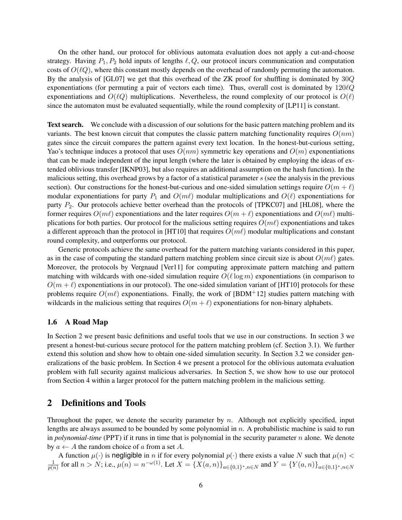On the other hand, our protocol for oblivious automata evaluation does not apply a cut-and-choose strategy. Having  $P_1, P_2$  hold inputs of lengths  $\ell, Q$ , our protocol incurs communication and computation costs of  $O(\ell Q)$ , where this constant mostly depends on the overhead of randomly permuting the automaton. By the analysis of [GL07] we get that this overhead of the ZK proof for shuffling is dominated by 30Q exponentiations (for permuting a pair of vectors each time). Thus, overall cost is dominated by  $120\ell Q$ exponentiations and  $O(\ell Q)$  multiplications. Nevertheless, the round complexity of our protocol is  $O(\ell)$ since the automaton must be evaluated sequentially, while the round complexity of [LP11] is constant.

Text search. We conclude with a discussion of our solutions for the basic pattern matching problem and its variants. The best known circuit that computes the classic pattern matching functionality requires  $O(nm)$ gates since the circuit compares the pattern against every text location. In the honest-but-curious setting, Yao's technique induces a protocol that uses  $O(nm)$  symmetric key operations and  $O(m)$  exponentiations that can be made independent of the input length (where the later is obtained by employing the ideas of extended oblivious transfer [IKNP03], but also requires an additional assumption on the hash function). In the malicious setting, this overhead grows by a factor of a statistical parameter  $s$  (see the analysis in the previous section). Our constructions for the honest-but-curious and one-sided simulation settings require  $O(m + \ell)$ modular exponentiations for party  $P_1$  and  $O(m\ell)$  modular multiplications and  $O(\ell)$  exponentiations for party  $P_2$ . Our protocols achieve better overhead than the protocols of [TPKC07] and [HL08], where the former requires  $O(m\ell)$  exponentiations and the later requires  $O(m + \ell)$  exponentiations and  $O(m\ell)$  multiplications for both parties. Our protocol for the malicious setting requires  $O(m\ell)$  exponentiations and takes a different approach than the protocol in [HT10] that requires  $O(m\ell)$  modular multiplications and constant round complexity, and outperforms our protocol.

Generic protocols achieve the same overhead for the pattern matching variants considered in this paper, as in the case of computing the standard pattern matching problem since circuit size is about  $O(m\ell)$  gates. Moreover, the protocols by Vergnaud [Ver11] for computing approximate pattern matching and pattern matching with wildcards with one-sided simulation require  $O(\ell \log m)$  exponentiations (in comparison to  $O(m + \ell)$  exponentiations in our protocol). The one-sided simulation variant of [HT10] protocols for these problems require  $O(m\ell)$  exponentiations. Finally, the work of [BDM+12] studies pattern matching with wildcards in the malicious setting that requires  $O(m + \ell)$  exponentiations for non-binary alphabets.

### 1.6 A Road Map

In Section 2 we present basic definitions and useful tools that we use in our constructions. In section 3 we present a honest-but-curious secure protocol for the pattern matching problem (cf. Section 3.1). We further extend this solution and show how to obtain one-sided simulation security. In Section 3.2 we consider generalizations of the basic problem. In Section 4 we present a protocol for the oblivious automata evaluation problem with full security against malicious adversaries. In Section 5, we show how to use our protocol from Section 4 within a larger protocol for the pattern matching problem in the malicious setting.

## 2 Definitions and Tools

Throughout the paper, we denote the security parameter by  $n$ . Although not explicitly specified, input lengths are always assumed to be bounded by some polynomial in  $n$ . A probabilistic machine is said to run in *polynomial-time* (PPT) if it runs in time that is polynomial in the security parameter n alone. We denote by  $a \leftarrow A$  the random choice of a from a set A.

A function  $\mu(\cdot)$  is negligible in n if for every polynomial  $p(\cdot)$  there exists a value N such that  $\mu(n)$  < 1  $\frac{1}{p(n)}$  for all  $n > N$ ; i.e.,  $\mu(n) = n^{-\omega(1)}$ . Let  $X = \{X(a, n)\}_{a \in \{0,1\}^*, n \in N}$  and  $Y = \{Y(a, n)\}_{a \in \{0,1\}^*, n \in N}$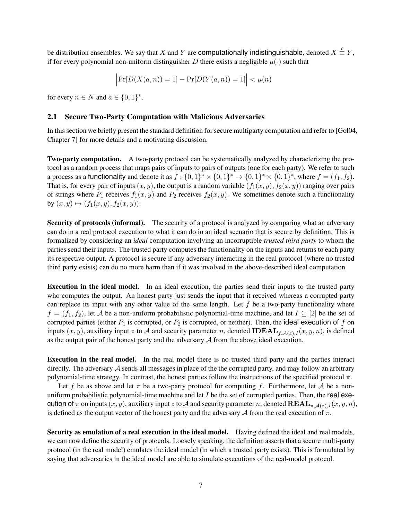be distribution ensembles. We say that  $X$  and  $Y$  are computationally indistinguishable, denoted  $X \stackrel{c}{\equiv} Y,$ if for every polynomial non-uniform distinguisher D there exists a negligible  $\mu(\cdot)$  such that

$$
Pr[D(X(a, n)) = 1] - Pr[D(Y(a, n)) = 1]| < \mu(n)
$$

for every  $n \in N$  and  $a \in \{0,1\}^*$ .

### 2.1 Secure Two-Party Computation with Malicious Adversaries

In this section we briefly present the standard definition for secure multiparty computation and refer to [Gol04, Chapter 7] for more details and a motivating discussion.

Two-party computation. A two-party protocol can be systematically analyzed by characterizing the protocol as a random process that maps pairs of inputs to pairs of outputs (one for each party). We refer to such a process as a functionality and denote it as  $f: \{0,1\}^* \times \{0,1\}^* \to \{0,1\}^* \times \{0,1\}^*$ , where  $f = (f_1, f_2)$ . That is, for every pair of inputs  $(x, y)$ , the output is a random variable  $(f_1(x, y), f_2(x, y))$  ranging over pairs of strings where  $P_1$  receives  $f_1(x, y)$  and  $P_2$  receives  $f_2(x, y)$ . We sometimes denote such a functionality by  $(x, y) \mapsto (f_1(x, y), f_2(x, y)).$ 

Security of protocols (informal). The security of a protocol is analyzed by comparing what an adversary can do in a real protocol execution to what it can do in an ideal scenario that is secure by definition. This is formalized by considering an *ideal* computation involving an incorruptible *trusted third party* to whom the parties send their inputs. The trusted party computes the functionality on the inputs and returns to each party its respective output. A protocol is secure if any adversary interacting in the real protocol (where no trusted third party exists) can do no more harm than if it was involved in the above-described ideal computation.

Execution in the ideal model. In an ideal execution, the parties send their inputs to the trusted party who computes the output. An honest party just sends the input that it received whereas a corrupted party can replace its input with any other value of the same length. Let f be a two-party functionality where  $f = (f_1, f_2)$ , let A be a non-uniform probabilistic polynomial-time machine, and let  $I \subseteq [2]$  be the set of corrupted parties (either  $P_1$  is corrupted, or  $P_2$  is corrupted, or neither). Then, the ideal execution of f on inputs  $(x, y)$ , auxiliary input z to A and security parameter n, denoted **IDEAL** $_{f,A(z),I}(x, y, n)$ , is defined as the output pair of the honest party and the adversary  $A$  from the above ideal execution.

Execution in the real model. In the real model there is no trusted third party and the parties interact directly. The adversary  $A$  sends all messages in place of the the corrupted party, and may follow an arbitrary polynomial-time strategy. In contrast, the honest parties follow the instructions of the specified protocol  $\pi$ .

Let f be as above and let  $\pi$  be a two-party protocol for computing f. Furthermore, let A be a nonuniform probabilistic polynomial-time machine and let  $I$  be the set of corrupted parties. Then, the real execution of  $\pi$  on inputs  $(x, y)$ , auxiliary input z to A and security parameter n, denoted  $REAL_{\pi,A(z),I}(x, y, n)$ , is defined as the output vector of the honest party and the adversary  $A$  from the real execution of  $\pi$ .

Security as emulation of a real execution in the ideal model. Having defined the ideal and real models, we can now define the security of protocols. Loosely speaking, the definition asserts that a secure multi-party protocol (in the real model) emulates the ideal model (in which a trusted party exists). This is formulated by saying that adversaries in the ideal model are able to simulate executions of the real-model protocol.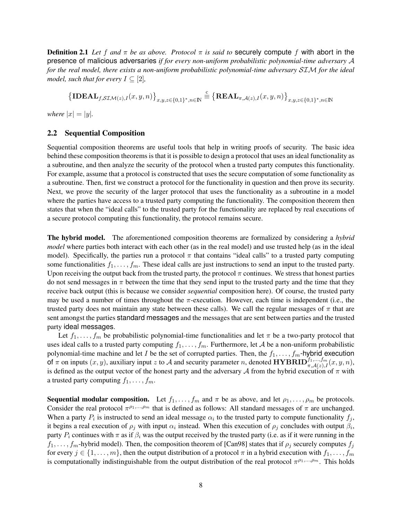**Definition 2.1** Let f and  $\pi$  be as above. Protocol  $\pi$  is said to securely compute f with abort in the presence of malicious adversaries *if for every non-uniform probabilistic polynomial-time adversary* A *for the real model, there exists a non-uniform probabilistic polynomial-time adversary* SIM *for the ideal model, such that for every*  $I \subseteq [2]$ *,* 

$$
\left\{\mathbf{IDEAL}_{f,\mathcal{SLM}(z),I}(x,y,n)\right\}_{x,y,z\in\{0,1\}^*,n\in\mathbb{N}}\stackrel{\text{c}}{=}\left\{\mathbf{REAL}_{\pi,\mathcal{A}(z),I}(x,y,n)\right\}_{x,y,z\in\{0,1\}^*,n\in\mathbb{N}}
$$

*where*  $|x| = |y|$ *.* 

### 2.2 Sequential Composition

Sequential composition theorems are useful tools that help in writing proofs of security. The basic idea behind these composition theorems is that it is possible to design a protocol that uses an ideal functionality as a subroutine, and then analyze the security of the protocol when a trusted party computes this functionality. For example, assume that a protocol is constructed that uses the secure computation of some functionality as a subroutine. Then, first we construct a protocol for the functionality in question and then prove its security. Next, we prove the security of the larger protocol that uses the functionality as a subroutine in a model where the parties have access to a trusted party computing the functionality. The composition theorem then states that when the "ideal calls" to the trusted party for the functionality are replaced by real executions of a secure protocol computing this functionality, the protocol remains secure.

The hybrid model. The aforementioned composition theorems are formalized by considering a *hybrid model* where parties both interact with each other (as in the real model) and use trusted help (as in the ideal model). Specifically, the parties run a protocol  $\pi$  that contains "ideal calls" to a trusted party computing some functionalities  $f_1, \ldots, f_m$ . These ideal calls are just instructions to send an input to the trusted party. Upon receiving the output back from the trusted party, the protocol  $\pi$  continues. We stress that honest parties do not send messages in  $\pi$  between the time that they send input to the trusted party and the time that they receive back output (this is because we consider *sequential* composition here). Of course, the trusted party may be used a number of times throughout the  $\pi$ -execution. However, each time is independent (i.e., the trusted party does not maintain any state between these calls). We call the regular messages of  $\pi$  that are sent amongst the parties standard messages and the messages that are sent between parties and the trusted party ideal messages.

Let  $f_1, \ldots, f_m$  be probabilistic polynomial-time functionalities and let  $\pi$  be a two-party protocol that uses ideal calls to a trusted party computing  $f_1, \ldots, f_m$ . Furthermore, let A be a non-uniform probabilistic polynomial-time machine and let I be the set of corrupted parties. Then, the  $f_1, \ldots, f_m$ -hybrid execution of  $\pi$  on inputs  $(x, y)$ , auxiliary input z to A and security parameter n, denoted  $\textbf{HYBRID}_{\pi,\mathcal{A}(z),I}^{f_1,\dots,f_m}(x, y, n)$ , is defined as the output vector of the honest party and the adversary A from the hybrid execution of  $\pi$  with a trusted party computing  $f_1, \ldots, f_m$ .

**Sequential modular composition.** Let  $f_1, \ldots, f_m$  and  $\pi$  be as above, and let  $\rho_1, \ldots, \rho_m$  be protocols. Consider the real protocol  $\pi^{\rho_1,...,\rho_m}$  that is defined as follows: All standard messages of  $\pi$  are unchanged. When a party  $P_i$  is instructed to send an ideal message  $\alpha_i$  to the trusted party to compute functionality  $f_j$ , it begins a real execution of  $\rho_j$  with input  $\alpha_i$  instead. When this execution of  $\rho_j$  concludes with output  $\beta_i$ , party  $P_i$  continues with  $\pi$  as if  $\beta_i$  was the output received by the trusted party (i.e. as if it were running in the  $f_1, \ldots, f_m$ -hybrid model). Then, the composition theorem of [Can98] states that if  $\rho_i$  securely computes  $f_i$ for every  $j \in \{1, \ldots, m\}$ , then the output distribution of a protocol  $\pi$  in a hybrid execution with  $f_1, \ldots, f_m$ is computationally indistinguishable from the output distribution of the real protocol  $\pi^{\rho_1,...,\rho_m}$ . This holds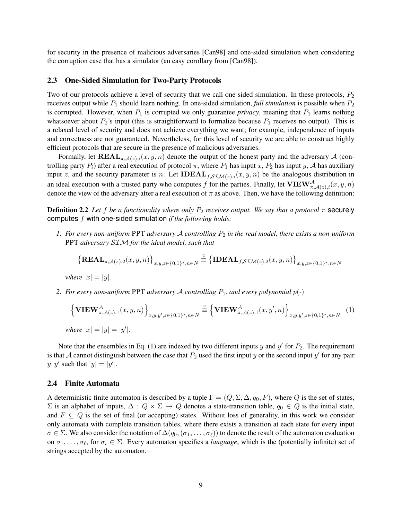for security in the presence of malicious adversaries [Can98] and one-sided simulation when considering the corruption case that has a simulator (an easy corollary from [Can98]).

### 2.3 One-Sided Simulation for Two-Party Protocols

Two of our protocols achieve a level of security that we call one-sided simulation. In these protocols,  $P_2$ receives output while  $P_1$  should learn nothing. In one-sided simulation, *full simulation* is possible when  $P_2$ is corrupted. However, when  $P_1$  is corrupted we only guarantee *privacy*, meaning that  $P_1$  learns nothing whatsoever about  $P_2$ 's input (this is straightforward to formalize because  $P_1$  receives no output). This is a relaxed level of security and does not achieve everything we want; for example, independence of inputs and correctness are not guaranteed. Nevertheless, for this level of security we are able to construct highly efficient protocols that are secure in the presence of malicious adversaries.

Formally, let  $\mathbf{REAL}_{\pi,\mathcal{A}(z),i}(x, y, n)$  denote the output of the honest party and the adversary  $\mathcal{A}$  (controlling party  $P_i$ ) after a real execution of protocol  $\pi$ , where  $P_1$  has input x,  $P_2$  has input y, A has auxiliary input z, and the security parameter is n. Let  $\mathbf{IDEAL}_{f,\mathcal{SIM}(z),i}(x, y, n)$  be the analogous distribution in an ideal execution with a trusted party who computes f for the parties. Finally, let  $\mathbf{VIEW}_{\pi,\mathcal{A}(z),i}^{\mathcal{A}}(x,y,n)$ denote the view of the adversary after a real execution of  $\pi$  as above. Then, we have the following definition:

**Definition 2.2** *Let* f *be a functionality where only*  $P_2$  *receives output. We say that a protocol*  $\pi$  **securely** computes f with one-sided simulation *if the following holds:*

*1. For every non-uniform* PPT *adversary* A *controlling*  $P_2$  *in the real model, there exists a non-uniform* PPT *adversary* SIM *for the ideal model, such that*

$$
\left\{{\bf REAL}_{\pi,\mathcal{A}(z),2}(x,y,n)\right\}_{x,y,z\in\{0,1\}^*,n\in N}\stackrel{\rm c}{=}\left\{{\bf IDEAL}_{f,\mathcal{SI}\mathcal{M}(z),2}(x,y,n)\right\}_{x,y,z\in\{0,1\}^*,n\in N}
$$

*where*  $|x| = |y|$ *.* 

*2. For every non-uniform PPT adversary* A *controlling*  $P_1$ *, and every polynomial*  $p(\cdot)$ 

$$
\left\{\mathbf{VIEW}_{\pi,\mathcal{A}(z),1}^{\mathcal{A}}(x,y,n)\right\}_{x,y,y',z\in\{0,1\}^*,n\in\mathbb{N}} \stackrel{c}{=} \left\{\mathbf{VIEW}_{\pi,\mathcal{A}(z),1}^{\mathcal{A}}(x,y',n)\right\}_{x,y,y',z\in\{0,1\}^*,n\in\mathbb{N}}\tag{1}
$$
\nwhere  $|x| = |y| = |y'|$ .

Note that the ensembles in Eq. (1) are indexed by two different inputs y and  $y'$  for  $P_2$ . The requirement is that A cannot distinguish between the case that  $P_2$  used the first input y or the second input y' for any pair  $y, y'$  such that  $|y| = |y'|$ .

#### 2.4 Finite Automata

A deterministic finite automaton is described by a tuple  $\Gamma = (Q, \Sigma, \Delta, q_0, F)$ , where Q is the set of states,  $\Sigma$  is an alphabet of inputs,  $\Delta: Q \times \Sigma \to Q$  denotes a state-transition table,  $q_0 \in Q$  is the initial state, and  $F \subseteq Q$  is the set of final (or accepting) states. Without loss of generality, in this work we consider only automata with complete transition tables, where there exists a transition at each state for every input  $\sigma \in \Sigma$ . We also consider the notation of  $\Delta(q_0,(\sigma_1,\ldots,\sigma_\ell))$  to denote the result of the automaton evaluation on  $\sigma_1, \ldots, \sigma_\ell$ , for  $\sigma_i \in \Sigma$ . Every automaton specifies a *language*, which is the (potentially infinite) set of strings accepted by the automaton.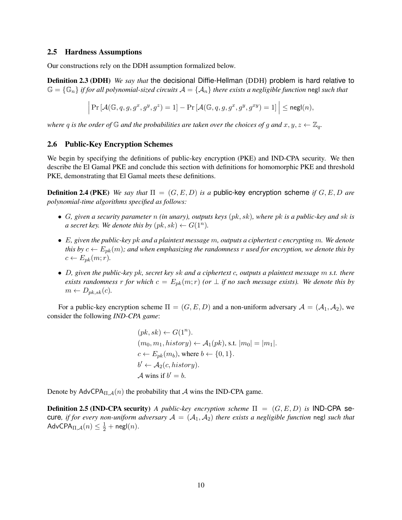### 2.5 Hardness Assumptions

Our constructions rely on the DDH assumption formalized below.

Definition 2.3 (DDH) *We say that* the decisional Diffie-Hellman (DDH) problem is hard relative to  $\mathbb{G} = \{\mathbb{G}_n\}$  *if for all polynomial-sized circuits*  $\mathcal{A} = \{\mathcal{A}_n\}$  *there exists a negligible function* negl *such that* 

$$
\left| \Pr\left[\mathcal{A}(\mathbb{G}, q, g, g^x, g^y, g^z) = 1 \right] - \Pr\left[\mathcal{A}(\mathbb{G}, q, g, g^x, g^y, g^{xy}) = 1 \right] \right| \le \mathsf{negl}(n),
$$

*where* q is the order of G and the probabilities are taken over the choices of g and  $x, y, z \leftarrow \mathbb{Z}_q$ .

### 2.6 Public-Key Encryption Schemes

We begin by specifying the definitions of public-key encryption (PKE) and IND-CPA security. We then describe the El Gamal PKE and conclude this section with definitions for homomorphic PKE and threshold PKE, demonstrating that El Gamal meets these definitions.

**Definition 2.4 (PKE)** We say that  $\Pi = (G, E, D)$  is a public-key encryption scheme if  $G, E, D$  are *polynomial-time algorithms specified as follows:*

- G*, given a security parameter* n *(in unary), outputs keys* (pk, sk)*, where* pk *is a public-key and* sk *is a secret key. We denote this by*  $(pk, sk) \leftarrow G(1^n)$ .
- E*, given the public-key* pk *and a plaintext message* m*, outputs a ciphertext* c *encrypting* m*. We denote this by*  $c \leftarrow E_{pk}(m)$ *; and when emphasizing the randomness r used for encryption, we denote this by*  $c \leftarrow E_{pk}(m;r)$ .
- D*, given the public-key* pk*, secret key* sk *and a ciphertext* c*, outputs a plaintext message* m *s.t. there exists randomness r for which*  $c = E_{pk}(m;r)$  *(or*  $\perp$  *if no such message exists). We denote this by*  $m \leftarrow D_{pk,sk}(c)$ .

For a public-key encryption scheme  $\Pi = (G, E, D)$  and a non-uniform adversary  $A = (A_1, A_2)$ , we consider the following *IND-CPA game*:

$$
(pk, sk) \leftarrow G(1n).
$$
  
\n
$$
(m_0, m_1, history) \leftarrow A_1(pk), \text{s.t. } |m_0| = |m_1|.
$$
  
\n
$$
c \leftarrow E_{pk}(m_b), \text{ where } b \leftarrow \{0, 1\}.
$$
  
\n
$$
b' \leftarrow A_2(c, history).
$$
  
\n
$$
A \text{ wins if } b' = b.
$$

Denote by AdvCPA $_{\Pi,\mathcal{A}}(n)$  the probability that A wins the IND-CPA game.

**Definition 2.5 (IND-CPA security)** *A public-key encryption scheme*  $\Pi = (G, E, D)$  *is* IND-CPA secure, if for every non-uniform adversary  $A = (A_1, A_2)$  there exists a negligible function negl such that AdvCPA $_{\Pi,\mathcal{A}}(n) \leq \frac{1}{2} + \mathsf{negl}(n)$ .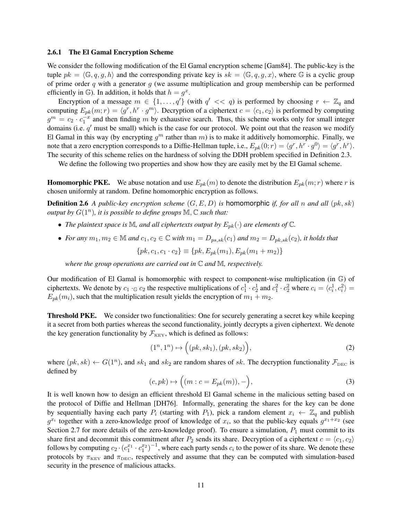#### 2.6.1 The El Gamal Encryption Scheme

We consider the following modification of the El Gamal encryption scheme [Gam84]. The public-key is the tuple  $pk = \langle \mathbb{G}, q, g, h \rangle$  and the corresponding private key is  $sk = \langle \mathbb{G}, q, g, x \rangle$ , where  $\mathbb{G}$  is a cyclic group of prime order q with a generator q (we assume multiplication and group membership can be performed efficiently in  $\mathbb{G}$ ). In addition, it holds that  $h = g^x$ .

Encryption of a message  $m \in \{1, ..., q'\}$  (with  $q' \ll q$ ) is performed by choosing  $r \leftarrow \mathbb{Z}_q$  and computing  $E_{pk}(m;r) = \langle g^r, h^r \cdot g^m \rangle$ . Decryption of a ciphertext  $c = \langle c_1, c_2 \rangle$  is performed by computing  $g^m = c_2 \cdot c_1^{-x}$  and then finding m by exhaustive search. Thus, this scheme works only for small integer domains (i.e.  $q'$  must be small) which is the case for our protocol. We point out that the reason we modify El Gamal in this way (by encrypting  $g^m$  rather than m) is to make it additively homomorphic. Finally, we note that a zero encryption corresponds to a Diffie-Hellman tuple, i.e.,  $E_{pk}(0; r) = \langle g^r, h^r \cdot g^0 \rangle = \langle g^r, h^r \rangle$ . The security of this scheme relies on the hardness of solving the DDH problem specified in Definition 2.3.

We define the following two properties and show how they are easily met by the El Gamal scheme.

**Homomorphic PKE.** We abuse notation and use  $E_{pk}(m)$  to denote the distribution  $E_{pk}(m; r)$  where r is chosen uniformly at random. Define homomorphic encryption as follows.

**Definition 2.6** *A public-key encryption scheme*  $(G, E, D)$  *is* homomorphic *if, for all* n *and all*  $(pk, sk)$ *output by*  $G(1^n)$ , *it is possible to define groups*  $M, C$  *such that:* 

- *The plaintext space is*  $M$ *, and all ciphertexts output by*  $E_{pk}(\cdot)$  *are elements of*  $\mathbb{C}$ *.*
- *For any*  $m_1, m_2 \in \mathbb{M}$  *and*  $c_1, c_2 \in \mathbb{C}$  *with*  $m_1 = D_{ps,sk}(c_1)$  *and*  $m_2 = D_{pk,sk}(c_2)$ *, it holds that*  ${pk, c_1, c_1 \cdot c_2} \equiv {pk, E_{pk}(m_1), E_{pk}(m_1 + m_2)}$

*where the group operations are carried out in* C *and* M*, respectively.*

Our modification of El Gamal is homomorphic with respect to component-wise multiplication (in  $\mathbb{G}$ ) of ciphertexts. We denote by  $c_1 \cdot c_2$  the respective multiplications of  $c_1^1 \cdot c_2^1$  and  $c_1^2 \cdot c_2^2$  where  $c_i = \langle c_i^1, c_i^2 \rangle =$  $E_{pk}(m_i)$ , such that the multiplication result yields the encryption of  $m_1 + m_2$ .

Threshold PKE. We consider two functionalities: One for securely generating a secret key while keeping it a secret from both parties whereas the second functionality, jointly decrypts a given ciphertext. We denote the key generation functionality by  $\mathcal{F}_{\text{KEY}}$ , which is defined as follows:

$$
(1^n, 1^n) \mapsto \Big( (pk, sk_1), (pk, sk_2) \Big), \tag{2}
$$

where  $(pk, sk) \leftarrow G(1^n)$ , and  $sk_1$  and  $sk_2$  are random shares of  $sk$ . The decryption functionality  $\mathcal{F}_{\text{DEC}}$  is defined by

$$
(c, pk) \mapsto \Big( (m : c = E_{pk}(m)), - \Big), \tag{3}
$$

It is well known how to design an efficient threshold El Gamal scheme in the malicious setting based on the protocol of Diffie and Hellman [DH76]. Informally, generating the shares for the key can be done by sequentially having each party  $P_i$  (starting with  $P_1$ ), pick a random element  $x_i \leftarrow \mathbb{Z}_q$  and publish  $g^{x_i}$  together with a zero-knowledge proof of knowledge of  $x_i$ , so that the public-key equals  $g^{x_1+x_2}$  (see Section 2.7 for more details of the zero-knowledge proof). To ensure a simulation,  $P_1$  must commit to its share first and decommit this commitment after  $P_2$  sends its share. Decryption of a ciphertext  $c = \langle c_1, c_2 \rangle$ follows by computing  $c_2 \cdot (c_1^{x_1} \cdot c_1^{x_2})^{-1}$ , where each party sends  $c_i$  to the power of its share. We denote these protocols by  $\pi_{\text{KEY}}$  and  $\pi_{\text{DEC}}$ , respectively and assume that they can be computed with simulation-based security in the presence of malicious attacks.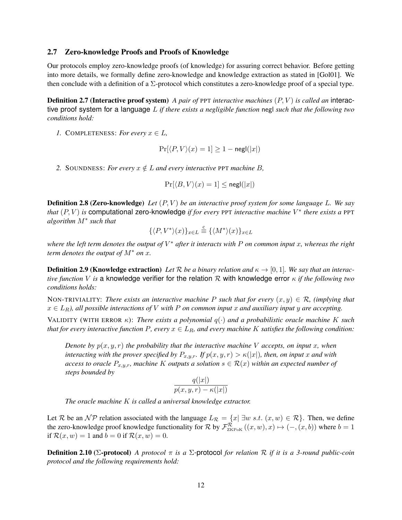### 2.7 Zero-knowledge Proofs and Proofs of Knowledge

Our protocols employ zero-knowledge proofs (of knowledge) for assuring correct behavior. Before getting into more details, we formally define zero-knowledge and knowledge extraction as stated in [Gol01]. We then conclude with a definition of a  $\Sigma$ -protocol which constitutes a zero-knowledge proof of a special type.

Definition 2.7 (Interactive proof system) *A pair of* PPT *interactive machines* (P, V ) *is called an* interactive proof system for a language L *if there exists a negligible function* negl *such that the following two conditions hold:*

*1.* COMPLETENESS: *For every*  $x \in L$ ,

$$
\Pr[\langle P, V \rangle(x) = 1] \ge 1 - \mathsf{negl}(|x|)
$$

*2.* SOUNDNESS: For every  $x \notin L$  and every interactive PPT machine B,

$$
\Pr[\langle B, V \rangle(x) = 1] \le \mathsf{negl}(|x|)
$$

Definition 2.8 (Zero-knowledge) *Let* (P, V ) *be an interactive proof system for some language* L*. We say that*  $(P, V)$  *is* computational zero-knowledge *if for every* PPT *interactive machine*  $V^*$  *there exists a* PPT *algorithm* M<sup>∗</sup> *such that*

$$
\{\langle P, V^* \rangle(x)\}_{x \in L} \stackrel{c}{\equiv} \{\langle M^* \rangle(x)\}_{x \in L}
$$

*where the left term denotes the output of* V <sup>∗</sup> *after it interacts with* P *on common input* x*, whereas the right term denotes the output of*  $M^*$  *on*  $x$ *.* 

**Definition 2.9 (Knowledge extraction)** Let R be a binary relation and  $\kappa \to [0, 1]$ . We say that an interac*tive function* V *is* a knowledge verifier for the relation R with knowledge error κ *if the following two conditions holds:*

NON-TRIVIALITY: *There exists an interactive machine* P such that for every  $(x, y) \in \mathcal{R}$ , (implying that x ∈ LR*), all possible interactions of* V *with* P *on common input* x *and auxiliary input* y *are accepting.*

VALIDITY (WITH ERROR κ): *There exists a polynomial* q(·) *and a probabilistic oracle machine* K *such that for every interactive function* P, every  $x \in L_R$ , and every machine K satisfies the following condition:

*Denote by*  $p(x, y, r)$  *the probability that the interactive machine* V *accepts, on input* x, when *interacting with the prover specified by*  $P_{x,y,r}$ *. If*  $p(x, y, r) > \kappa(|x|)$ *, then, on input* x and with *access to oracle*  $P_{x,y,r}$ *, machine* K *outputs a solution*  $s \in \mathcal{R}(x)$  *within an expected number of steps bounded by*

$$
\frac{q(|x|)}{p(x,y,r)-\kappa(|x|)}
$$

*The oracle machine* K *is called a universal knowledge extractor.*

Let R be an NP relation associated with the language  $L_{\mathcal{R}} = \{x | \exists w \ s.t. \ (x, w) \in \mathcal{R}\}\.$  Then, we define the zero-knowledge proof knowledge functionality for R by  $\mathcal{F}_{ZKPoK}^{\mathcal{R}}((x,w),x) \mapsto (-, (x,b))$  where  $b=1$ if  $\mathcal{R}(x, w) = 1$  and  $b = 0$  if  $\mathcal{R}(x, w) = 0$ .

Definition 2.10 (Σ-protocol) *A protocol* π *is a* Σ-protocol *for relation* R *if it is a 3-round public-coin protocol and the following requirements hold:*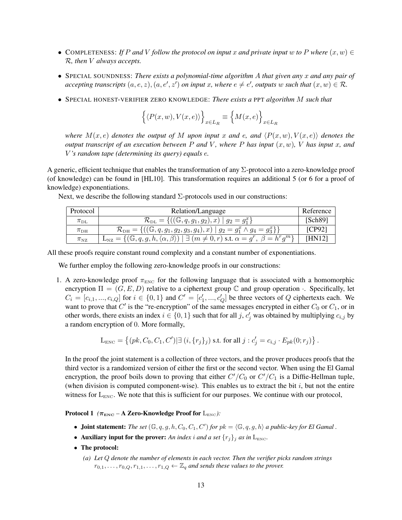- COMPLETENESS: *If* P and V follow the protocol on input x and private input w to P where  $(x, w) \in$ R*, then* V *always accepts.*
- SPECIAL SOUNDNESS: *There exists a polynomial-time algorithm* A *that given any* x *and any pair of accepting transcripts*  $(a, e, z)$ ,  $(a, e', z')$  *on input* x, where  $e \neq e'$ , *outputs* w *such that*  $(x, w) \in \mathcal{R}$ *.*
- SPECIAL HONEST-VERIFIER ZERO KNOWLEDGE: *There exists a* PPT *algorithm* M *such that*

$$
\left\{ \langle P(x, w), V(x, e) \rangle \right\}_{x \in L_R} \equiv \left\{ M(x, e) \right\}_{x \in L_R}
$$

*where*  $M(x, e)$  *denotes the output of* M *upon input* x and e, and  $\langle P(x, w), V(x, e) \rangle$  *denotes the output transcript of an execution between* P *and* V *, where* P *has input* (x, w)*,* V *has input* x*, and* V *'s random tape (determining its query) equals* e*.*

A generic, efficient technique that enables the transformation of any Σ-protocol into a zero-knowledge proof (of knowledge) can be found in [HL10]. This transformation requires an additional 5 (or 6 for a proof of knowledge) exponentiations.

Next, we describe the following standard  $\Sigma$ -protocols used in our constructions:

| Protocol                | Relation/Language                                                                                                                                 | Reference |
|-------------------------|---------------------------------------------------------------------------------------------------------------------------------------------------|-----------|
| $\pi_{\textnormal{DL}}$ | $\mathcal{R}_{\text{DL}} = \{((\mathbb{G}, q, g_1, g_2), x) \mid g_2 = g_1^x\}$                                                                   | [Sch89]   |
| $\pi_{\rm DH}$          | $\mathcal{R}_{\text{DH}} = \{((\mathbb{G}, q, g_1, g_2, g_3, g_4), x) \mid g_2 = g_1^x \wedge g_4 = g_3^x \}$                                     | [CP92]    |
| $\pi_{\rm NZ}$          | $L_{\rm NZ} = \{(\mathbb{G}, q, g, h, \langle \alpha, \beta \rangle) \mid \exists (m \neq 0, r) \text{ s.t. } \alpha = g^r, \ \beta = h^r g^m \}$ | [HN12]    |

All these proofs require constant round complexity and a constant number of exponentiations.

We further employ the following zero-knowledge proofs in our constructions:

1. A zero-knowledge proof  $\pi_{\text{ENC}}$  for the following language that is associated with a homomorphic encryption  $\Pi = (G, E, D)$  relative to a ciphertext group  $\mathbb C$  and group operation  $\cdot$ . Specifically, let  $C_i = [c_{i,1},...,c_{i,Q}]$  for  $i \in \{0,1\}$  and  $C' = [c'_1,...,c'_Q]$  be three vectors of Q ciphertexts each. We want to prove that  $C'$  is the "re-encryption" of the same messages encrypted in either  $C_0$  or  $C_1$ , or in other words, there exists an index  $i \in \{0, 1\}$  such that for all j,  $c'_j$  was obtained by multiplying  $c_{i,j}$  by a random encryption of 0. More formally,

$$
L_{\text{ENC}} = \left\{ (pk, C_0, C_1, C') | \exists (i, \{r_j\}_j) \text{ s.t. for all } j : c'_j = c_{i,j} \cdot E_{pk}(0; r_j) \right\}.
$$

In the proof the joint statement is a collection of three vectors, and the prover produces proofs that the third vector is a randomized version of either the first or the second vector. When using the El Gamal encryption, the proof boils down to proving that either  $C'/C_0$  or  $C'/C_1$  is a Diffie-Hellman tuple, (when division is computed component-wise). This enables us to extract the bit  $i$ , but not the entire witness for  $L_{\text{ENC}}$ . We note that this is sufficient for our purposes. We continue with our protocol,

**Protocol 1**  $(\pi_{\text{ENC}} - A \text{ Zero-Knowledge Proof for } L_{\text{ENC}}):$ 

- **Joint statement:** *The set*  $(\mathbb{G}, q, g, h, C_0, C_1, C')$  *for*  $pk = \langle \mathbb{G}, q, g, h \rangle$  *a public-key for El Gamal .*
- Auxiliary input for the prover: *An index i and a set*  $\{r_i\}_i$  *as in*  $L_{\text{ENC}}$ *.*
- The protocol:
	- *(a) Let* Q *denote the number of elements in each vector. Then the verifier picks random strings*  $r_{0,1}, \ldots, r_{0,Q}, r_{1,1}, \ldots, r_{1,Q} \leftarrow \mathbb{Z}_q$  and sends these values to the prover.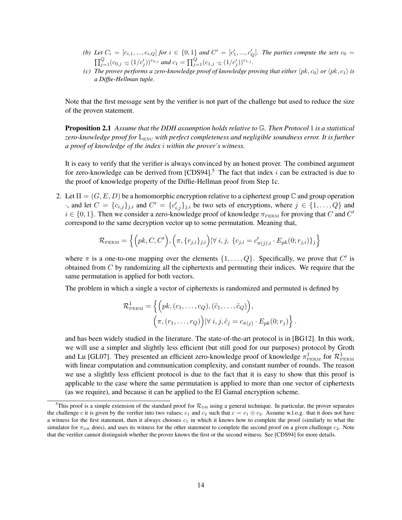- *(b)* Let  $C_i = [c_{i,1},...,c_{i,Q}]$  for  $i \in \{0,1\}$  and  $C' = [c'_1,...,c'_Q]$ . The parties compute the sets  $c_0 =$  $\prod_{j=1}^Q (c_{0,j} \cdot_{\mathbb{G}} (1/c'_j))^{r_{0,j}}$  and  $c_1 = \prod_{j=1}^Q (c_{1,j} \cdot_{\mathbb{G}} (1/c'_j))^{r_{1,j}}$ .
- *(c)* The prover performs a zero-knowledge proof of knowledge proving that either  $\langle pk, c_0 \rangle$  or  $\langle pk, c_1 \rangle$  is *a Diffie-Hellman tuple.*

Note that the first message sent by the verifier is not part of the challenge but used to reduce the size of the proven statement.

Proposition 2.1 *Assume that the DDH assumption holds relative to* G*. Then Protocol* 1 *is a statistical* zero-knowledge proof for  $L_{\text{ENC}}$  with perfect completeness and negligible soundness error. It is further *a proof of knowledge of the index* i *within the prover's witness.*

It is easy to verify that the verifier is always convinced by an honest prover. The combined argument for zero-knowledge can be derived from  $[CDS94]$ <sup>5</sup>. The fact that index i can be extracted is due to the proof of knowledge property of the Diffie-Hellman proof from Step 1c.

2. Let  $\Pi = (G, E, D)$  be a homomorphic encryption relative to a ciphertext group  $\mathbb C$  and group operation  $\cdot$ , and let  $C = \{c_{i,j}\}_{j,i}$  and  $C' = \{c'_{i,j}\}_{j,i}$  be two sets of encryptions, where  $j \in \{1, \ldots, Q\}$  and  $i \in \{0, 1\}$ . Then we consider a zero-knowledge proof of knowledge  $\pi_{\text{PERM}}$  for proving that C and C' correspond to the same decryption vector up to some permutation. Meaning that,

$$
\mathcal{R}_{\text{PERM}} = \left\{ \left( pk, C, C' \right), \left( \pi, \{ r_{j,i} \}_{j,i} \right) | \forall i, j, \{ c_{j,i} = c'_{\pi(j),i} \cdot E_{pk}(0; r_{j,i}) \}_j \right\}
$$

where  $\pi$  is a one-to-one mapping over the elements  $\{1, \ldots, Q\}$ . Specifically, we prove that C' is obtained from  $C$  by randomizing all the ciphertexts and permuting their indices. We require that the same permutation is applied for both vectors.

The problem in which a single a vector of ciphertexts is randomized and permuted is defined by

$$
\mathcal{R}^1_{\text{PERM}} = \left\{ \left( pk, (c_1, \ldots, c_Q), (\tilde{c}_1, \ldots, \tilde{c}_Q) \right), \\ \left( \pi, (r_1, \ldots, r_Q) \right) \middle| \forall i, j, \tilde{c}_j = c_{\pi(j)} \cdot E_{pk}(0; r_j) \right\}.
$$

and has been widely studied in the literature. The state-of-the-art protocol is in [BG12]. In this work, we will use a simpler and slightly less efficient (but still good for our purposes) protocol by Groth and Lu [GL07]. They presented an efficient zero-knowledge proof of knowledge  $\pi_{\text{PERM}}^1$  for  $\mathcal{R}_{\text{PERM}}^1$ with linear computation and communication complexity, and constant number of rounds. The reason we use a slightly less efficient protocol is due to the fact that it is easy to show that this proof is applicable to the case where the same permutation is applied to more than one vector of ciphertexts (as we require), and because it can be applied to the El Gamal encryption scheme.

<sup>&</sup>lt;sup>5</sup>This proof is a simple extension of the standard proof for  $\mathcal{R}_{\text{DH}}$  using a general technique. In particular, the prover separates the challenge c it is given by the verifier into two values;  $c_1$  and  $c_2$  such that  $c = c_1 \oplus c_2$ . Assume w.l.o.g. that it does not have a witness for the first statement, then it always chooses  $c_1$  in which it knows how to complete the proof (similarly to what the simulator for  $\pi_{\text{DH}}$  does), and uses its witness for the other statement to complete the second proof on a given challenge  $c_2$ . Note that the verifier cannot distinguish whether the prover knows the first or the second witness. See [CDS94] for more details.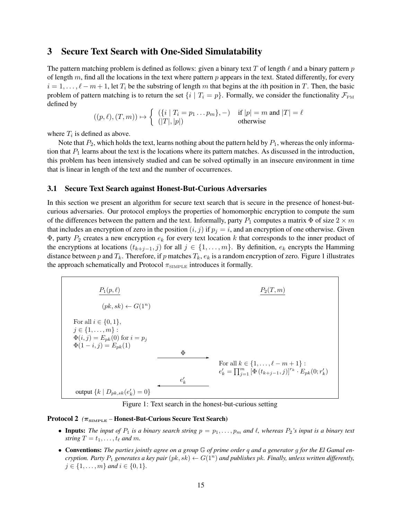### 3 Secure Text Search with One-Sided Simulatability

The pattern matching problem is defined as follows: given a binary text T of length  $\ell$  and a binary pattern p of length m, find all the locations in the text where pattern  $p$  appears in the text. Stated differently, for every  $i = 1, \ldots, \ell - m + 1$ , let  $T_i$  be the substring of length m that begins at the *i*th position in T. Then, the basic problem of pattern matching is to return the set  $\{i \mid T_i = p\}$ . Formally, we consider the functionality  $\mathcal{F}_{PM}$ defined by

$$
((p,\ell),(T,m)) \mapsto \begin{cases} (\{i \mid T_i = p_1 \dots p_m\}, -) & \text{if } |p| = m \text{ and } |T| = \ell \\ (|T|, |p|) & \text{otherwise} \end{cases}
$$

where  $T_i$  is defined as above.

Note that  $P_2$ , which holds the text, learns nothing about the pattern held by  $P_1$ , whereas the only information that  $P_1$  learns about the text is the locations where its pattern matches. As discussed in the introduction, this problem has been intensively studied and can be solved optimally in an insecure environment in time that is linear in length of the text and the number of occurrences.

### 3.1 Secure Text Search against Honest-But-Curious Adversaries

In this section we present an algorithm for secure text search that is secure in the presence of honest-butcurious adversaries. Our protocol employs the properties of homomorphic encryption to compute the sum of the differences between the pattern and the text. Informally, party  $P_1$  computes a matrix  $\Phi$  of size  $2 \times m$ that includes an encryption of zero in the position  $(i, j)$  if  $p_j = i$ , and an encryption of one otherwise. Given  $\Phi$ , party  $P_2$  creates a new encryption  $e_k$  for every text location k that corresponds to the inner product of the encryptions at locations  $(t_{k+j-1}, j)$  for all  $j \in \{1, \ldots, m\}$ . By definition,  $e_k$  encrypts the Hamming distance between p and  $T_k$ . Therefore, if p matches  $T_k$ ,  $e_k$  is a random encryption of zero. Figure 1 illustrates the approach schematically and Protocol  $\pi_{\text{SIMPLE}}$  introduces it formally.



Figure 1: Text search in the honest-but-curious setting

### Protocol 2 (π<sub>SIMPLE</sub> – Honest-But-Curious Secure Text Search)

- Inputs: The input of  $P_1$  is a binary search string  $p = p_1, \ldots, p_m$  and  $\ell$ , whereas  $P_2$ 's input is a binary text *string*  $T = t_1, \ldots, t_\ell$  *and*  $m$ .
- Conventions: *The parties jointly agree on a group* G *of prime order* q *and a generator* g *for the El Gamal encryption. Party*  $P_1$  *generates a key pair*  $(pk, sk) \leftarrow G(1^n)$  *and publishes pk. Finally, unless written differently,*  $j \in \{1, \ldots, m\}$  and  $i \in \{0, 1\}$ .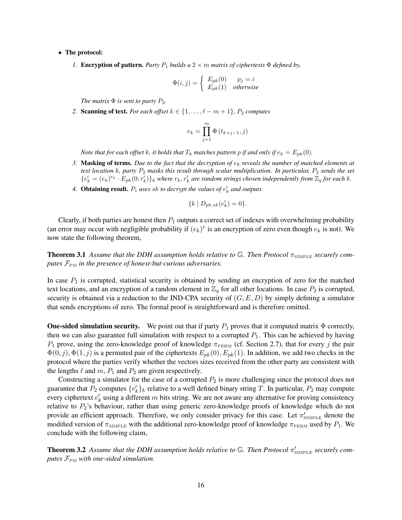- The protocol:
	- *1.* **Encryption of pattern.** *Party*  $P_1$  *builds*  $a$  2  $\times$  *m matrix* of *ciphertexts*  $\Phi$  *defined by,*

$$
\Phi(i,j) = \begin{cases} E_{pk}(0) & p_j = i \\ E_{pk}(1) & otherwise \end{cases}
$$

*The matrix*  $\Phi$  *is sent to party*  $P_2$ *.* 

*2.* **Scanning of text.** *For each offset*  $k \in \{1, \ldots, \ell - m + 1\}$ *, P<sub>2</sub> computes* 

$$
e_k = \prod_{j=1}^m \Phi(t_{k+j-1}, j)
$$

*Note that for each offset* k, it holds that  $T_k$  *matches pattern* p *if and only if*  $e_k = E_{pk}(0)$ *.* 

- *3.* Masking of terms. *Due to the fact that the decryption of* e<sup>k</sup> *reveals the number of matched elements at text location* k, party  $P_2$  masks this result through scalar multiplication. In particular,  $P_2$  sends the set  ${e'_k = (e_k)^{r_k} \cdot E_{pk}(0; r'_k)}_k$  *where*  $r_k, r'_k$  *are random strings chosen independently from*  $\mathbb{Z}_q$  *for each k.*
- 4. **Obtaining result.**  $P_1$  *uses sk to decrypt the values of*  $e'_k$  *and outputs*

$$
\{k\mid D_{pk,sk}(e_k')=0\}.
$$

Clearly, if both parties are honest then  $P_1$  outputs a correct set of indexes with overwhelming probability (an error may occur with negligible probability if  $(e_k)^r$  is an encryption of zero even though  $e_k$  is not). We now state the following theorem,

**Theorem 3.1** *Assume that the DDH assumption holds relative to G. Then Protocol*  $\pi_{\text{SIMPLE}}$  *securely computes*  $\mathcal{F}_{\text{PM}}$  *in the presence of honest-but-curious adversaries.* 

In case  $P_1$  is corrupted, statistical security is obtained by sending an encryption of zero for the matched text locations, and an encryption of a random element in  $\mathbb{Z}_q$  for all other locations. In case  $P_2$  is corrupted, security is obtained via a reduction to the IND-CPA security of  $(G, E, D)$  by simply defining a simulator that sends encryptions of zero. The formal proof is straightforward and is therefore omitted.

**One-sided simulation security.** We point out that if party  $P_1$  proves that it computed matrix  $\Phi$  correctly, then we can also guarantee full simulation with respect to a corrupted  $P_1$ . This can be achieved by having  $P_1$  prove, using the zero-knowledge proof of knowledge  $\pi_{\text{PERM}}$  (cf. Section 2.7), that for every j the pair  $\Phi(0, j), \Phi(1, j)$  is a permuted pair of the ciphertexts  $E_{pk}(0), E_{pk}(1)$ . In addition, we add two checks in the protocol where the parties verify whether the vectors sizes received from the other party are consistent with the lengths  $\ell$  and  $m$ ,  $P_1$  and  $P_2$  are given respectively.

Constructing a simulator for the case of a corrupted  $P_2$  is more challenging since the protocol does not guarantee that  $P_2$  computes  $\{e'_k\}_k$  relative to a well defined binary string T. In particular,  $P_2$  may compute every ciphertext  $e'_{k}$  using a different m bits string. We are not aware any alternative for proving consistency relative to  $P_2$ 's behaviour, rather than using generic zero-knowledge proofs of knowledge which do not provide an efficient approach. Therefore, we only consider privacy for this case. Let  $\pi'_{\text{SIMPLE}}$  denote the modified version of  $\pi_{\text{SIMPLE}}$  with the additional zero-knowledge proof of knowledge  $\pi_{\text{PERM}}$  used by  $P_1$ . We conclude with the following claim,

**Theorem 3.2** Assume that the DDH assumption holds relative to  $\mathbb{G}$ . Then Protocol  $\pi'_{\text{SIMPLE}}$  securely com*putes*  $\mathcal{F}_{PM}$  *with one-sided simulation.*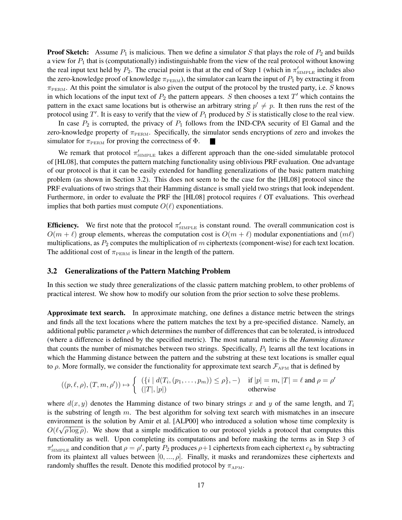**Proof Sketch:** Assume  $P_1$  is malicious. Then we define a simulator S that plays the role of  $P_2$  and builds a view for  $P_1$  that is (computationally) indistinguishable from the view of the real protocol without knowing the real input text held by  $P_2$ . The crucial point is that at the end of Step 1 (which in  $\pi'_{\text{SIMPLE}}$  includes also the zero-knowledge proof of knowledge  $\pi_{\text{PERM}}$ ), the simulator can learn the input of  $P_1$  by extracting it from  $\pi_{\text{PERM}}$ . At this point the simulator is also given the output of the protocol by the trusted party, i.e. S knows in which locations of the input text of  $P_2$  the pattern appears. S then chooses a text  $T'$  which contains the pattern in the exact same locations but is otherwise an arbitrary string  $p' \neq p$ . It then runs the rest of the protocol using T'. It is easy to verify that the view of  $P_1$  produced by S is statistically close to the real view.

In case  $P_2$  is corrupted, the privacy of  $P_1$  follows from the IND-CPA security of El Gamal and the zero-knowledge property of  $\pi_{\text{PERM}}$ . Specifically, the simulator sends encryptions of zero and invokes the simulator for  $\pi_{\text{PERM}}$  for proving the correctness of  $\Phi$ .

We remark that protocol  $\pi'_{\text{SIMPLE}}$  takes a different approach than the one-sided simulatable protocol of [HL08], that computes the pattern matching functionality using oblivious PRF evaluation. One advantage of our protocol is that it can be easily extended for handling generalizations of the basic pattern matching problem (as shown in Section 3.2). This does not seem to be the case for the [HL08] protocol since the PRF evaluations of two strings that their Hamming distance is small yield two strings that look independent. Furthermore, in order to evaluate the PRF the [HL08] protocol requires  $\ell$  OT evaluations. This overhead implies that both parties must compute  $O(\ell)$  exponentiations.

**Efficiency.** We first note that the protocol  $\pi'_{\text{SIMPLE}}$  is constant round. The overall communication cost is  $O(m + \ell)$  group elements, whereas the computation cost is  $O(m + \ell)$  modular exponentiations and  $(m\ell)$ multiplications, as  $P_2$  computes the multiplication of m ciphertexts (component-wise) for each text location. The additional cost of  $\pi_{\text{PERM}}$  is linear in the length of the pattern.

### 3.2 Generalizations of the Pattern Matching Problem

In this section we study three generalizations of the classic pattern matching problem, to other problems of practical interest. We show how to modify our solution from the prior section to solve these problems.

Approximate text search. In approximate matching, one defines a distance metric between the strings and finds all the text locations where the pattern matches the text by a pre-specified distance. Namely, an additional public parameter  $\rho$  which determines the number of differences that can be tolerated, is introduced (where a difference is defined by the specified metric). The most natural metric is the *Hamming distance* that counts the number of mismatches between two strings. Specifically,  $P_1$  learns all the text locations in which the Hamming distance between the pattern and the substring at these text locations is smaller equal to  $\rho$ . More formally, we consider the functionality for approximate text search  $\mathcal{F}_{APM}$  that is defined by

$$
((p,\ell,\rho),(T,m,\rho')) \mapsto \left\{ \begin{array}{ll} (\{i \mid d(T_i,(p_1,\ldots,p_m)) \leq \rho\},-) & \textrm{ if } |p|=m, |T|=\ell \textrm{ and } \rho=\rho'\\ (|T|,|p|) & \textrm{ otherwise} \end{array} \right.
$$

where  $d(x, y)$  denotes the Hamming distance of two binary strings x and y of the same length, and  $T_i$ is the substring of length  $m$ . The best algorithm for solving text search with mismatches in an insecure environment is the solution by Amir et al. [ALP00] who introduced a solution whose time complexity is  $O(\ell \sqrt{\rho \log \rho})$ . We show that a simple modification to our protocol yields a protocol that computes this functionality as well. Upon completing its computations and before masking the terms as in Step 3 of  $\pi'_{\text{SIMPLE}}$  and condition that  $\rho = \rho'$ , party  $P_2$  produces  $\rho+1$  ciphertexts from each ciphertext  $e_k$  by subtracting from its plaintext all values between  $[0, ..., \rho]$ . Finally, it masks and rerandomizes these ciphertexts and randomly shuffles the result. Denote this modified protocol by  $\pi_{APM}$ .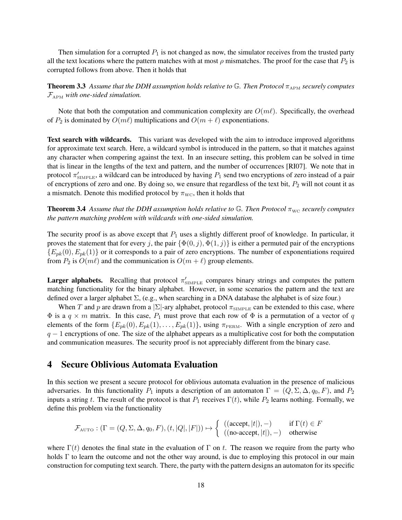Then simulation for a corrupted  $P_1$  is not changed as now, the simulator receives from the trusted party all the text locations where the pattern matches with at most  $\rho$  mismatches. The proof for the case that  $P_2$  is corrupted follows from above. Then it holds that

**Theorem 3.3** Assume that the DDH assumption holds relative to  $\mathbb{G}$ . Then Protocol  $\pi_{APM}$  securely computes  $\mathcal{F}_{\text{APM}}$  *with one-sided simulation.* 

Note that both the computation and communication complexity are  $O(m\ell)$ . Specifically, the overhead of  $P_2$  is dominated by  $O(m\ell)$  multiplications and  $O(m + \ell)$  exponentiations.

Text search with wildcards. This variant was developed with the aim to introduce improved algorithms for approximate text search. Here, a wildcard symbol is introduced in the pattern, so that it matches against any character when compering against the text. In an insecure setting, this problem can be solved in time that is linear in the lengths of the text and pattern, and the number of occurrences [RI07]. We note that in protocol  $\pi'_{\text{SIMPLE}}$ , a wildcard can be introduced by having  $P_1$  send two encryptions of zero instead of a pair of encryptions of zero and one. By doing so, we ensure that regardless of the text bit,  $P_2$  will not count it as a mismatch. Denote this modified protocol by  $\pi_{\text{WC}}$ , then it holds that

**Theorem 3.4** *Assume that the DDH assumption holds relative to*  $\mathbb{G}$ *. Then Protocol*  $\pi_{\text{WC}}$  *securely computes the pattern matching problem with wildcards with one-sided simulation.*

The security proof is as above except that  $P_1$  uses a slightly different proof of knowledge. In particular, it proves the statement that for every j, the pair  $\{\Phi(0, j), \Phi(1, j)\}$  is either a permuted pair of the encryptions  ${E_{pk}(0), E_{pk}(1)}$  or it corresponds to a pair of zero encryptions. The number of exponentiations required from  $P_2$  is  $O(m\ell)$  and the communication is  $O(m + \ell)$  group elements.

**Larger alphabets.** Recalling that protocol  $\pi'_{\text{SIMPLE}}$  compares binary strings and computes the pattern matching functionality for the binary alphabet. However, in some scenarios the pattern and the text are defined over a larger alphabet  $\Sigma$ , (e.g., when searching in a DNA database the alphabet is of size four.)

When T and p are drawn from a  $|\Sigma|$ -ary alphabet, protocol  $\pi_{\text{SIMPLE}}$  can be extended to this case, where  $\Phi$  is a  $q \times m$  matrix. In this case,  $P_1$  must prove that each row of  $\Phi$  is a permutation of a vector of q elements of the form  $\{E_{pk}(0), E_{pk}(1), \ldots, E_{pk}(1)\}$ , using  $\pi_{PERM}$ . With a single encryption of zero and  $q - 1$  encryptions of one. The size of the alphabet appears as a multiplicative cost for both the computation and communication measures. The security proof is not appreciably different from the binary case.

# 4 Secure Oblivious Automata Evaluation

In this section we present a secure protocol for oblivious automata evaluation in the presence of malicious adversaries. In this functionality  $P_1$  inputs a description of an automaton  $\Gamma = (Q, \Sigma, \Delta, q_0, F)$ , and  $P_2$ inputs a string t. The result of the protocol is that  $P_1$  receives  $\Gamma(t)$ , while  $P_2$  learns nothing. Formally, we define this problem via the functionality

$$
\mathcal{F}_{\text{AUTO}} : (\Gamma = (Q, \Sigma, \Delta, q_0, F), (t, |Q|, |F|)) \mapsto \left\{ \begin{array}{ll} ((\text{accept}, |t|), -) & \text{if } \Gamma(t) \in F \\ ((\text{no-accept}, |t|), -) & \text{otherwise} \end{array} \right.
$$

where  $\Gamma(t)$  denotes the final state in the evaluation of  $\Gamma$  on t. The reason we require from the party who holds Γ to learn the outcome and not the other way around, is due to employing this protocol in our main construction for computing text search. There, the party with the pattern designs an automaton for its specific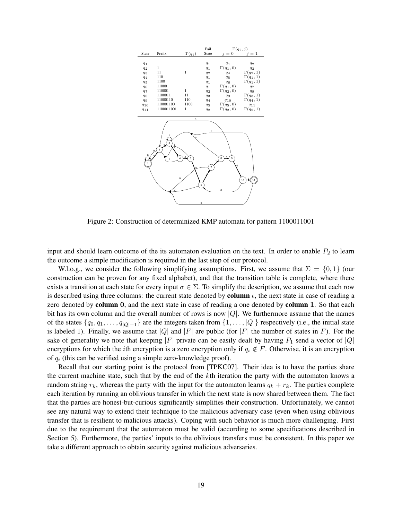|             |                         |                 | Fail    | $\Gamma(q_i, j)$ |                  |  |  |
|-------------|-------------------------|-----------------|---------|------------------|------------------|--|--|
| State       | Prefix                  | $\Upsilon(q_i)$ | State   | $j=0$            | $j=1$            |  |  |
|             |                         |                 |         |                  |                  |  |  |
| $q_1$       |                         |                 | $q_1$   | $q_1$            | $q_2$            |  |  |
| $q_2$       | 1                       |                 | $q_1$   | $\Gamma(q_1,0)$  | $q_3$            |  |  |
| $q_3$       | 11                      | $\mathbf{1}$    | $q_2$   | 94               | $\Gamma(q_2,1)$  |  |  |
| $q_4$       | 110                     |                 | $q_1$   | $q_5$            | $\Gamma(q_1,1)$  |  |  |
| $q_5$       | 1100                    |                 | $q_1$   | $q_6$            | $\Gamma(q_1,1)$  |  |  |
| $q_6$       | 11000                   |                 | $q_1$   | $\Gamma(q_1,0)$  | $q_7$            |  |  |
| $q_7$       | 110001                  | $\mathbf{1}$    | $q_{2}$ | $\Gamma(q_2,0)$  | $\mathfrak{q}_8$ |  |  |
| $q_{\rm 8}$ | 1100011                 | 11              | $q_3$   | $q_9$            | $\Gamma(q_3,1)$  |  |  |
| $q_{\rm 9}$ | 11000110                | 110             | $q_4$   | 910              | $\Gamma(q_4,1)$  |  |  |
| $q_{10}$    | 110001100               | 1100            | $q_5$   | $\Gamma(q_5,0)$  | $q_{11}$         |  |  |
| $q_{11}$    | 1100011001              | $\mathbf{1}$    | $q_2$   | $\Gamma(q_2,0)$  | $\Gamma(q_2,1)$  |  |  |
|             |                         |                 |         |                  |                  |  |  |
|             |                         |                 |         |                  |                  |  |  |
|             |                         |                 |         |                  |                  |  |  |
|             |                         |                 |         |                  |                  |  |  |
|             |                         |                 |         |                  |                  |  |  |
|             | $\overline{\mathbf{3}}$ |                 |         |                  |                  |  |  |
|             | Ò<br>$\overline{2}$     |                 |         |                  |                  |  |  |
|             |                         |                 |         |                  |                  |  |  |
|             |                         | 5               |         | $\mathbf{a}$     |                  |  |  |
|             |                         |                 |         |                  |                  |  |  |
|             |                         |                 |         |                  |                  |  |  |
|             |                         |                 |         |                  |                  |  |  |
|             | 0                       |                 |         |                  | $\circ$          |  |  |
|             |                         |                 | 6       |                  |                  |  |  |
|             | Ò                       |                 |         | O                |                  |  |  |
|             |                         |                 |         |                  |                  |  |  |
|             |                         |                 |         |                  |                  |  |  |
|             |                         |                 | 0       |                  |                  |  |  |

Figure 2: Construction of determinized KMP automata for pattern 1100011001

input and should learn outcome of the its automaton evaluation on the text. In order to enable  $P_2$  to learn the outcome a simple modification is required in the last step of our protocol.

W.l.o.g., we consider the following simplifying assumptions. First, we assume that  $\Sigma = \{0, 1\}$  (our construction can be proven for any fixed alphabet), and that the transition table is complete, where there exists a transition at each state for every input  $\sigma \in \Sigma$ . To simplify the description, we assume that each row is described using three columns: the current state denoted by **column**  $\epsilon$ , the next state in case of reading a zero denoted by column 0, and the next state in case of reading a one denoted by column 1. So that each bit has its own column and the overall number of rows is now  $|Q|$ . We furthermore assume that the names of the states  $\{q_0, q_1, \ldots, q_{|Q|-1}\}$  are the integers taken from  $\{1, \ldots, |Q|\}$  respectively (i.e., the initial state is labeled 1). Finally, we assume that  $|Q|$  and  $|F|$  are public (for  $|F|$  the number of states in F). For the sake of generality we note that keeping  $|F|$  private can be easily dealt by having  $P_1$  send a vector of  $|Q|$ encryptions for which the *i*th encryption is a zero encryption only if  $q_i \notin F$ . Otherwise, it is an encryption of  $q_i$  (this can be verified using a simple zero-knowledge proof).

Recall that our starting point is the protocol from [TPKC07]. Their idea is to have the parties share the current machine state, such that by the end of the kth iteration the party with the automaton knows a random string  $r_k$ , whereas the party with the input for the automaton learns  $q_k + r_k$ . The parties complete each iteration by running an oblivious transfer in which the next state is now shared between them. The fact that the parties are honest-but-curious significantly simplifies their construction. Unfortunately, we cannot see any natural way to extend their technique to the malicious adversary case (even when using oblivious transfer that is resilient to malicious attacks). Coping with such behavior is much more challenging. First due to the requirement that the automaton must be valid (according to some specifications described in Section 5). Furthermore, the parties' inputs to the oblivious transfers must be consistent. In this paper we take a different approach to obtain security against malicious adversaries.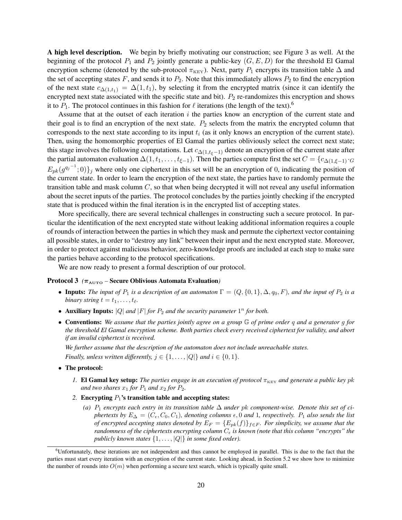A high level description. We begin by briefly motivating our construction; see Figure 3 as well. At the beginning of the protocol  $P_1$  and  $P_2$  jointly generate a public-key  $(G, E, D)$  for the threshold El Gamal encryption scheme (denoted by the sub-protocol  $\pi_{\text{KEY}}$ ). Next, party  $P_1$  encrypts its transition table  $\Delta$  and the set of accepting states  $F$ , and sends it to  $P_2$ . Note that this immediately allows  $P_2$  to find the encryption of the next state  $c_{\Delta(1,t_1)} = \Delta(1,t_1)$ , by selecting it from the encrypted matrix (since it can identify the encrypted next state associated with the specific state and bit).  $P_2$  re-randomizes this encryption and shows it to  $P_1$ . The protocol continues in this fashion for  $\ell$  iterations (the length of the text).<sup>6</sup>

Assume that at the outset of each iteration  $i$  the parties know an encryption of the current state and their goal is to find an encryption of the next state.  $P_2$  selects from the matrix the encrypted column that corresponds to the next state according to its input  $t_i$  (as it only knows an encryption of the current state). Then, using the homomorphic properties of El Gamal the parties obliviously select the correct next state; this stage involves the following computations. Let  $c_{\Delta(1,t_{\xi}-1)}$  denote an encryption of the current state after the partial automaton evaluation  $\Delta(1, t_1, \ldots, t_{\xi-1})$ . Then the parties compute first the set  $C = \{c_{\Delta(1,\xi-1)}\cdot G$  $E_{pk}(g^{q_j-1};0)$  where only one ciphertext in this set will be an encryption of 0, indicating the position of the current state. In order to learn the encryption of the next state, the parties have to randomly permute the transition table and mask column  $C$ , so that when being decrypted it will not reveal any useful information about the secret inputs of the parties. The protocol concludes by the parties jointly checking if the encrypted state that is produced within the final iteration is in the encrypted list of accepting states.

More specifically, there are several technical challenges in constructing such a secure protocol. In particular the identification of the next encrypted state without leaking additional information requires a couple of rounds of interaction between the parties in which they mask and permute the ciphertext vector containing all possible states, in order to "destroy any link" between their input and the next encrypted state. Moreover, in order to protect against malicious behavior, zero-knowledge proofs are included at each step to make sure the parties behave according to the protocol specifications.

We are now ready to present a formal description of our protocol.

### Protocol 3  $(\pi_{\text{AUTO}} - \text{Secure Oblivious Automata Evaluation})$

- **Inputs:** *The input of*  $P_1$  *is a description of an automaton*  $\Gamma = (Q, \{0, 1\}, \Delta, q_0, F)$ *, and the input of*  $P_2$  *is a binary string*  $t = t_1, \ldots, t_\ell$ .
- Auxiliary Inputs:  $|Q|$  *and*  $|F|$  *for*  $P_2$  *and the security parameter*  $1^n$  *for both.*
- Conventions: *We assume that the parties jointly agree on a group* G *of prime order* q *and a generator* g *for the threshold El Gamal encryption scheme. Both parties check every received ciphertext for validity, and abort if an invalid ciphertext is received.*

*We further assume that the description of the automaton does not include unreachable states.*

*Finally, unless written differently,*  $j \in \{1, ..., |Q|\}$  *and*  $i \in \{0, 1\}$ *.* 

- The protocol:
	- *1.* El Gamal key setup: *The parties engage in an execution of protocol*  $\pi_{\text{KEY}}$  *and generate a public key pk and two shares*  $x_1$  *for*  $P_1$  *and*  $x_2$  *for*  $P_2$ *.*
	- 2. Encrypting  $P_1$ 's transition table and accepting states:
		- *(a)* P<sup>1</sup> *encrypts each entry in its transition table* ∆ *under* pk *component-wise. Denote this set of ciphertexts by*  $E_{\Delta} = (C_{\epsilon}, C_0, C_1)$ *, denoting columns*  $\epsilon$ , 0 *and* 1*, respectively.*  $P_1$  *also sends the list of encrypted accepting states denoted by*  $E_F = \{E_{pk}(f)\}_{f \in F}$ *. For simplicity, we assume that the randomness of the ciphertexts encrypting column*  $C_{\epsilon}$  *is known (note that this column "encrypts" the publicly known states* {1, . . . , |Q|} *in some fixed order).*

<sup>6</sup>Unfortunately, these iterations are not independent and thus cannot be employed in parallel. This is due to the fact that the parties must start every iteration with an encryption of the current state. Looking ahead, in Section 5.2 we show how to minimize the number of rounds into  $O(m)$  when performing a secure text search, which is typically quite small.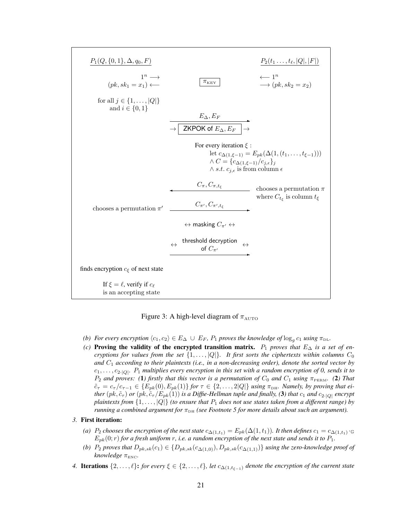

Figure 3: A high-level diagram of  $\pi_{\text{AUTO}}$ 

- *(b)* For every encryption  $\langle c_1, c_2 \rangle \in E_{\Delta} \cup E_F$ ,  $P_1$  proves the knowledge of  $\log_g c_1$  using  $\pi_{\text{DL}}$ .
- *(c)* Proving the validity of the encrypted transition matrix.  $P_1$  *proves that*  $E_\Delta$  *is a set of encryptions for values from the set*  $\{1, \ldots, |Q|\}$ *. It first sorts the ciphertexts within columns*  $C_0$ and  $C_1$  according to their plaintexts (i.e., in a non-decreasing order), denote the sorted vector by  $c_1, \ldots, c_{2 \cdot |Q|}$ .  $P_1$  *multiplies every encryption in this set with a random encryption of 0, sends it to*  $P_2$  *and proves:* (1) firstly that this vector is a permutation of  $C_0$  and  $C_1$  *using*  $\pi_{\text{PERM}}$ . (2) That  $\tilde{c}_{\tau} = c_{\tau}/c_{\tau-1} \in \{E_{pk}(0), E_{pk}(1)\}$  *for*  $\tau \in \{2, \ldots, 2|Q|\}$  *using*  $\pi_{\text{DH}}$ *. Namely, by proving that either*  $(pk, \tilde{c}_{\tau})$  *or*  $(pk, \tilde{c}_{\tau}/E_{pk}(1))$  *is a Diffie-Hellman tuple and finally, (3) that*  $c_1$  *and*  $c_{2 \cdot |Q|}$  *encrypt plaintexts from*  $\{1, \ldots, |Q|\}$  *(to ensure that*  $P_1$  *does not use states taken from a different range) by running a combined argument for*  $\pi_{\text{DH}}$  *(see Footnote 5 for more details about such an argument).*

#### *3.* First iteration:

- (a)  $P_2$  *chooses the encryption of the next state*  $c_{\Delta(1,t_1)}=E_{pk}(\Delta(1,t_1)).$  *It then defines*  $c_1=c_{\Delta(1,t_1)}$  *.*  $\oplus$  $E_{pk}(0; r)$  *for a fresh uniform r, i.e. a random encryption of the next state and sends it to*  $P_1$ *.*
- (b)  $P_2$  *proves that*  $D_{pk,sk}(c_1)$  ∈ { $D_{pk,sk}(c_{\Delta(1,0)}), D_{pk,sk}(c_{\Delta(1,1)})$ } *using the zero-knowledge proof of knowledge*  $\pi_{\text{ENC}}$ *.*
- *4.* Iterations  $\{2,\ldots,\ell\}$ : *for every*  $\xi \in \{2,\ldots,\ell\}$ , let  $c_{\Delta(1,t_{\epsilon-1})}$  *denote the encryption of the current state*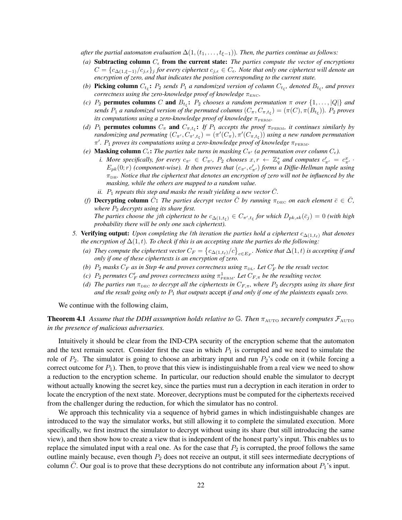*after the partial automaton evaluation*  $\Delta(1, (t_1, \ldots, t_{\xi-1}))$ *. Then, the parties continue as follows:* 

- *(a)* Subtracting column  $C_{\epsilon}$  from the current state: *The parties compute the vector of encryptions*  $C = \{c_{\Delta(1,\xi-1)}/c_{j,\xi}\}\$  for every ciphertext  $c_{j,\xi} \in C_{\epsilon}$ . Note that only one ciphertext will denote an *encryption of zero, and that indicates the position corresponding to the current state.*
- (b) **Picking column**  $C_{t_{\xi}}$ :  $P_2$  sends  $P_1$  a randomized version of column  $C_{t_{\xi}}$ , denoted  $B_{t_{\xi}}$ , and proves *correctness using the zero-knowledge proof of knowledge*  $\pi_{\text{\tiny{ENC}}}$ *.*
- *(c)*  $P_2$  **permutes columns** C **and**  $B_{t_{\xi}}$ :  $P_2$  chooses a random permutation  $\pi$  over  $\{1, \ldots, |Q|\}$  and *sends*  $P_1$  *a randomized version of the permuted columns*  $(C_\pi, C_{\pi, t_\xi}) = (\pi(C), \pi(B_{t_\xi}))$ .  $P_2$  *proves its computations using a zero-knowledge proof of knowledge*  $\pi_{\text{PERM}}$ .
- (*d*)  $P_1$  **permutes columns**  $C_{\pi}$  and  $C_{\pi,t_{\xi}}$ : *If*  $P_1$  *accepts the proof*  $\pi_{\text{PERM}}$ *, it continues similarly by randomizing and permuting*  $(C_{\pi'}, C_{\pi', t_{\xi}}) = (\pi'(C_{\pi}), \pi'(C_{\pi, t_{\xi}}))$  *using a new random permutation*  $π'$ .  $P_1$  proves its computations using a zero-knowledge proof of knowledge  $π$ <sub>PERM</sub>.
- *(e)* **Masking column**  $C_{\epsilon}$ : *The parties take turns in masking*  $C_{\pi'}$  *(a permutation over column*  $C_{\epsilon}$ *).* 
	- *i. More specifically, for every*  $c_{\pi'} \in C_{\pi'}$ ,  $P_2$  *chooses*  $x, r \leftarrow \mathbb{Z}_q^*$  and computes  $c'_{\pi'} = c_{\pi'}^x$ .  $E_{pk}(0; r)$  (component-wise). It then proves that  $(c_{\pi'}, c'_{\pi'})$  forms a Diffie-Hellman tuple using  $\pi_{\text{DH}}$ . Notice that the ciphertext that denotes an encryption of zero will not be influenced by the *masking, while the others are mapped to a random value.*
	- *ii.*  $P_1$  *repeats this step and masks the result yielding a new vector*  $\overline{C}$ *.*
- *(f)* Decrypting column  $\overline{C}$ : *The parties decrypt vector*  $\overline{C}$  *by running*  $\pi_{\text{DEC}}$  *on each element*  $\overline{c} \in \overline{C}$ *, where*  $P_2$  *decrypts using its share first. The parties choose the jth ciphertext to be*  $c_{\Delta(1,t_{\xi})} \in C_{\pi',t_{\xi}}$  *for which*  $D_{pk,sk}(\bar{c}_j) = 0$  *(with high probability there will be only one such ciphertext).*
- *5.* **Verifying output:** *Upon completing the lth iteration the parties hold a ciphertext*  $c_{\Delta(1,t_{\ell})}$  *that denotes the encryption of*  $\Delta(1, t)$ *. To check if this is an accepting state the parties do the following:* 
	- (a) They compute the ciphertext vector  $C_F = \left\{c_{\Delta(1,t_\ell)}/c\right\}_{c \in E_F}$ . Notice that  $\Delta(1,t)$  is accepting if and *only if one of these ciphertexts is an encryption of zero.*
	- (b)  $P_2$  masks  $C_F$  as in Step 4e and proves correctness using  $\pi_{\text{DL}}$ . Let  $C_F'$  be the result vector.
	- (c)  $P_2$  *permutes*  $C_F'$  and proves correctness using  $\pi_{\text{PERM}}^1$ . Let  $C_{F,\pi}$  be the resulting vector.
	- *(d)* The parties run  $\pi_{\text{DEC}}$  to decrypt all the ciphertexts in  $C_{F,\pi}$ , where  $P_2$  decrypts using its share first *and the result going only to* P<sup>1</sup> *that outputs* accept *if and only if one of the plaintexts equals zero.*

We continue with the following claim,

**Theorem 4.1** Assume that the DDH assumption holds relative to  $\mathbb{G}$ . Then  $\pi_{\text{AUTO}}$  securely computes  $\mathcal{F}_{\text{AUTO}}$ *in the presence of malicious adversaries.*

Intuitively it should be clear from the IND-CPA security of the encryption scheme that the automaton and the text remain secret. Consider first the case in which  $P_1$  is corrupted and we need to simulate the role of  $P_2$ . The simulator is going to choose an arbitrary input and run  $P_2$ 's code on it (while forcing a correct outcome for  $P_1$ ). Then, to prove that this view is indistinguishable from a real view we need to show a reduction to the encryption scheme. In particular, our reduction should enable the simulator to decrypt without actually knowing the secret key, since the parties must run a decryption in each iteration in order to locate the encryption of the next state. Moreover, decryptions must be computed for the ciphertexts received from the challenger during the reduction, for which the simulator has no control.

We approach this technicality via a sequence of hybrid games in which indistinguishable changes are introduced to the way the simulator works, but still allowing it to complete the simulated execution. More specifically, we first instruct the simulator to decrypt without using its share (but still introducing the same view), and then show how to create a view that is independent of the honest party's input. This enables us to replace the simulated input with a real one. As for the case that  $P_2$  is corrupted, the proof follows the same outline mainly because, even though  $P_2$  does not receive an output, it still sees intermediate decryptions of column  $\overline{C}$ . Our goal is to prove that these decryptions do not contribute any information about  $P_1$ 's input.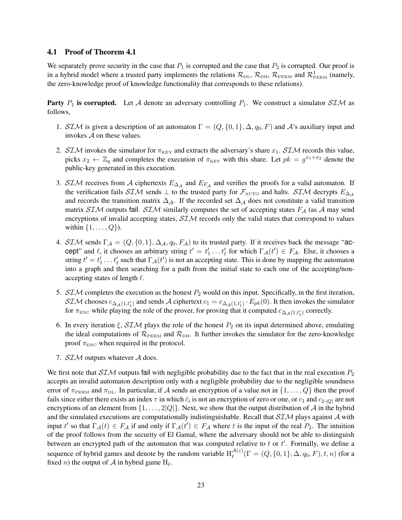### 4.1 Proof of Theorem 4.1

We separately prove security in the case that  $P_1$  is corrupted and the case that  $P_2$  is corrupted. Our proof is in a hybrid model where a trusted party implements the relations  $\mathcal{R}_{\text{DL}}$ ,  $\mathcal{R}_{\text{DH}}$ ,  $\mathcal{R}_{\text{PERM}}$  and  $\mathcal{R}^1_{\text{PERM}}$  (namely, the zero-knowledge proof of knowledge functionality that corresponds to these relations).

**Party**  $P_1$  is corrupted. Let A denote an adversary controlling  $P_1$ . We construct a simulator  $SIM$  as follows,

- 1. SIM is given a description of an automaton  $\Gamma = (Q, \{0, 1\}, \Delta, q_0, F)$  and A's auxiliary input and invokes A on these values.
- 2. SIM invokes the simulator for  $\pi_{K_{EY}}$  and extracts the adversary's share  $x_1$ . SIM records this value, picks  $x_2 \leftarrow \mathbb{Z}_q$  and completes the execution of  $\pi_{\text{KEY}}$  with this share. Let  $pk = g^{x_1+x_2}$  denote the public-key generated in this execution.
- 3. SIM receives from A ciphertexts  $E_{\Delta_A}$  and  $E_{F_A}$  and verifies the proofs for a valid automaton. If the verification fails SIM sends  $\perp$  to the trusted party for  $\mathcal{F}_{\text{AUTO}}$  and halts. SIM decrypts  $E_{\Delta_A}$ and records the transition matrix  $\Delta_{\mathcal{A}}$ . If the recorded set  $\Delta_{\mathcal{A}}$  does not constitute a valid transition matrix  $STM$  outputs fail.  $STM$  similarly computes the set of accepting states  $F_A$  (as A may send encryptions of invalid accepting states,  $SIM$  records only the valid states that correspond to values within  $\{1, \ldots, Q\}$ ).
- 4. SIM sends  $\Gamma_A = (Q, \{0, 1\}, \Delta_A, q_0, F_A)$  to its trusted party. If it receives back the message "accept" and  $\ell$ , it chooses an arbitrary string  $t' = t'_1 \dots t'_\ell$  for which  $\Gamma_{\mathcal{A}}(t') \in F_{\mathcal{A}}$ . Else, it chooses a string  $t' = t'_1 \dots t'_\ell$  such that  $\Gamma_A(t')$  is not an accepting state. This is done by mapping the automaton into a graph and then searching for a path from the initial state to each one of the accepting/nonaccepting states of length  $\ell$ .
- 5. SIM completes the execution as the honest  $P_2$  would on this input. Specifically, in the first iteration, SIM chooses  $c_{\Delta_{\mathcal{A}}(1,t_1')}$  and sends A ciphertext  $c_1 = c_{\Delta_{\mathcal{A}}(1,t_1')} \cdot E_{pk}(0)$ . It then invokes the simulator for  $\pi_{\text{ENC}}$  while playing the role of the prover, for proving that it computed  $c_{\Delta_{\mathcal{A}}(1,t_1')}$  correctly.
- 6. In every iteration  $\xi$ ,  $\mathcal{SIM}$  plays the role of the honest  $P_2$  on its input determined above, emulating the ideal computations of  $\mathcal{R}_{\text{PERM}}$  and  $\mathcal{R}_{\text{DH}}$ . It further invokes the simulator for the zero-knowledge proof  $\pi_{\text{ENC}}$  when required in the protocol.
- 7. *SIM* outputs whatever *A* does.

We first note that  $SIM$  outputs fail with negligible probability due to the fact that in the real execution  $P_2$ accepts an invalid automaton description only with a negligible probability due to the negligible soundness error of  $\pi_{\text{PERM}}$  and  $\pi_{\text{DL}}$ . In particular, if A sends an encryption of a value not in  $\{1, \ldots, Q\}$  then the proof fails since either there exists an index  $\tau$  in which  $\tilde{c}_i$  is not an encryption of zero or one, or  $c_1$  and  $c_{2\cdot|Q|}$  are not encryptions of an element from  $\{1, \ldots, 2|Q|\}$ . Next, we show that the output distribution of A in the hybrid and the simulated executions are computationally indistinguishable. Recall that  $SIM$  plays against A with input t' so that  $\Gamma_A(t) \in F_A$  if and only if  $\Gamma_A(t') \in F_A$  where t is the input of the real  $P_2$ . The intuition of the proof follows from the security of El Gamal, where the adversary should not be able to distinguish between an encrypted path of the automaton that was computed relative to  $t$  or  $t'$ . Formally, we define a sequence of hybrid games and denote by the random variable  $H_{\ell}^{\mathcal{A}(z)}$  $\mathcal{L}^{(2)}(\Gamma = (Q, \{0, 1\}, \Delta, q_0, F), t, n)$  (for a fixed *n*) the output of  $\mathcal A$  in hybrid game  $H_\ell$ .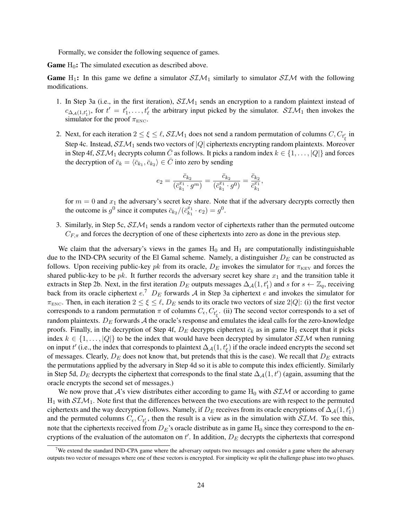Formally, we consider the following sequence of games.

**Game**  $H_0$ : The simulated execution as described above.

Game H<sub>1</sub>: In this game we define a simulator  $SIM_1$  similarly to simulator  $SIM$  with the following modifications.

- 1. In Step 3a (i.e., in the first iteration),  $SIM_1$  sends an encryption to a random plaintext instead of  $c_{\Delta_{\mathcal{A}}(1,t_1')}$ , for  $t' = t_1', \ldots, t_{\ell}'$  the arbitrary input picked by the simulator.  $\mathcal{SIM}_1$  then invokes the simulator for the proof  $\pi_{\text{ENC}}$ .
- 2. Next, for each iteration  $2 \le \xi \le \ell$ ,  $\mathcal{SIM}_1$  does not send a random permutation of columns  $C, C_{t'_\xi}$  in Step 4c. Instead,  $SIM_1$  sends two vectors of  $|Q|$  ciphertexts encrypting random plaintexts. Moreover in Step 4f,  $STM_1$  decrypts column  $\overline{C}$  as follows. It picks a random index  $k \in \{1, \ldots, |Q|\}$  and forces the decryption of  $\bar{c}_k = \langle \bar{c}_{k_1}, \bar{c}_{k_2} \rangle \in \bar{C}$  into zero by sending

$$
e_2=\frac{\bar{c}_{k_2}}{(\bar{c}_{k_1}^{x_1}\cdot g^m)}=\frac{\bar{c}_{k_2}}{(\bar{c}_{k_1}^{x_1}\cdot g^0)}=\frac{\bar{c}_{k_2}}{\bar{c}_{k_1}^{x_1}},
$$

for  $m = 0$  and  $x_1$  the adversary's secret key share. Note that if the adversary decrypts correctly then the outcome is  $g^0$  since it computes  $\bar{c}_{k_2}/(\bar{c}_{k_1}^{x_1})$  $k_1^{x_1} \cdot e_2 = g^0.$ 

3. Similarly, in Step 5c,  $SIM<sub>1</sub>$  sends a random vector of ciphertexts rather than the permuted outcome  $C_{F,\pi}$  and forces the decryption of one of these ciphertexts into zero as done in the previous step.

We claim that the adversary's views in the games  $H_0$  and  $H_1$  are computationally indistinguishable due to the IND-CPA security of the El Gamal scheme. Namely, a distinguisher  $D<sub>E</sub>$  can be constructed as follows. Upon receiving public-key pk from its oracle,  $D_E$  invokes the simulator for  $\pi_{\text{KEY}}$  and forces the shared public-key to be  $pk$ . It further records the adversary secret key share  $x_1$  and the transition table it extracts in Step 2b. Next, in the first iteration  $D_E$  outputs messages  $\Delta_A(1,t_1')$  and s for  $s \leftarrow \mathbb{Z}_q$ , receiving back from its oracle ciphertext  $e^{\tau}$   $D_E$  forwards  $A$  in Step 3a ciphertext  $e$  and invokes the simulator for  $\pi_{\text{ENC}}$ . Then, in each iteration  $2 \le \xi \le \ell$ ,  $D_E$  sends to its oracle two vectors of size  $2|Q|$ : (i) the first vector corresponds to a random permutation  $\pi$  of columns  $C_{\epsilon}, C_{t'_{\xi}}$ . (ii) The second vector corresponds to a set of random plaintexts.  $D_E$  forwards  $A$  the oracle's response and emulates the ideal calls for the zero-knowledge proofs. Finally, in the decryption of Step 4f,  $D_E$  decrypts ciphertext  $\bar{c}_k$  as in game H<sub>1</sub> except that it picks index  $k \in \{1, \ldots, |Q|\}$  to be the index that would have been decrypted by simulator  $SIM$  when running on input t' (i.e., the index that corresponds to plaintext  $\Delta_A(1,t'_\xi)$  if the oracle indeed encrypts the second set of messages. Clearly,  $D_E$  does not know that, but pretends that this is the case). We recall that  $D_E$  extracts the permutations applied by the adversary in Step 4d so it is able to compute this index efficiently. Similarly in Step 5d,  $D_E$  decrypts the ciphertext that corresponds to the final state  $\Delta_{\mathcal{A}}(1,t')$  (again, assuming that the oracle encrypts the second set of messages.)

We now prove that  $A$ 's view distributes either according to game  $H_0$  with  $SIM$  or according to game  $H_1$  with  $\mathcal{SIM}_1$ . Note first that the differences between the two executions are with respect to the permuted ciphertexts and the way decryption follows. Namely, if  $D_E$  receives from its oracle encryptions of  $\Delta_A(1,t_1')$ and the permuted columns  $C_{\epsilon}, C_{t'_{\xi}}$ , then the result is a view as in the simulation with  $STM$ . To see this, note that the ciphertexts received from  $D_E$ 's oracle distribute as in game  $H_0$  since they correspond to the encryptions of the evaluation of the automaton on  $t'$ . In addition,  $D_E$  decrypts the ciphertexts that correspond

<sup>&</sup>lt;sup>7</sup>We extend the standard IND-CPA game where the adversary outputs two messages and consider a game where the adversary outputs two vector of messages where one of these vectors is encrypted. For simplicity we split the challenge phase into two phases.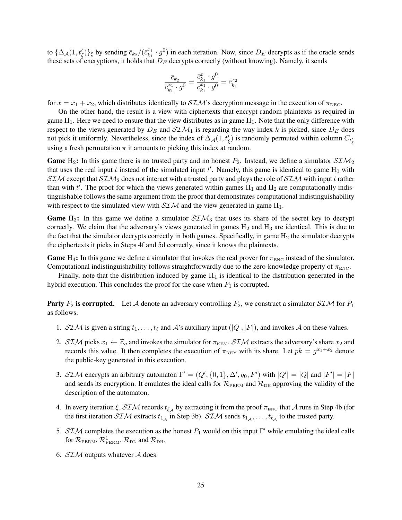to  $\{\Delta_{\mathcal{A}}(1, t'_{\xi})\}_{\xi}$  by sending  $\bar{c}_{k_2}/(\bar{c}_{k_1}^{x_1})$  $k_1^{x_1} \cdot g^0$ ) in each iteration. Now, since  $D_E$  decrypts as if the oracle sends these sets of encryptions, it holds that  $D_E$  decrypts correctly (without knowing). Namely, it sends

$$
\frac{\bar{c}_{k_2}}{\bar{c}_{k_1}^{x_1}\cdot g^0}=\frac{\bar{c}_{k_1}^x\cdot g^0}{\bar{c}_{k_1}^{x_1}\cdot g^0}=\bar{c}_{k_1}^{x_2}
$$

for  $x = x_1 + x_2$ , which distributes identically to  $SIM$ 's decryption message in the execution of  $\pi_{\text{DEC}}$ .

On the other hand, the result is a view with ciphertexts that encrypt random plaintexts as required in game  $H_1$ . Here we need to ensure that the view distributes as in game  $H_1$ . Note that the only difference with respect to the views generated by  $D_E$  and  $SIM_1$  is regarding the way index k is picked, since  $D_E$  does not pick it uniformly. Nevertheless, since the index of  $\Delta_{\mathcal{A}}(1, t'_{\xi})$  is randomly permuted within column  $C_{t'_{\xi}}$ using a fresh permutation  $\pi$  it amounts to picking this index at random.

**Game** H<sub>2</sub>: In this game there is no trusted party and no honest  $P_2$ . Instead, we define a simulator  $\mathcal{SIM}_2$ that uses the real input t instead of the simulated input  $t'$ . Namely, this game is identical to game  $H_0$  with  $STM$  except that  $STM_2$  does not interact with a trusted party and plays the role of  $STM$  with input t rather than with  $t'$ . The proof for which the views generated within games  $H_1$  and  $H_2$  are computationally indistinguishable follows the same argument from the proof that demonstrates computational indistinguishability with respect to the simulated view with  $SIM$  and the view generated in game  $H_1$ .

**Game** H<sub>3</sub>: In this game we define a simulator  $STM_3$  that uses its share of the secret key to decrypt correctly. We claim that the adversary's views generated in games  $H_2$  and  $H_3$  are identical. This is due to the fact that the simulator decrypts correctly in both games. Specifically, in game  $H_2$  the simulator decrypts the ciphertexts it picks in Steps 4f and 5d correctly, since it knows the plaintexts.

**Game** H<sub>4</sub>: In this game we define a simulator that invokes the real prover for  $\pi_{\text{ENC}}$  instead of the simulator. Computational indistinguishability follows straightforwardly due to the zero-knowledge property of  $\pi_{\text{ENC}}$ .

Finally, note that the distribution induced by game  $H_4$  is identical to the distribution generated in the hybrid execution. This concludes the proof for the case when  $P_1$  is corrupted.

**Party**  $P_2$  is corrupted. Let A denote an adversary controlling  $P_2$ , we construct a simulator  $SIM$  for  $P_1$ as follows.

- 1. SIM is given a string  $t_1, \ldots, t_\ell$  and A's auxiliary input  $(|Q|, |F|)$ , and invokes A on these values.
- 2. SIM picks  $x_1 \leftarrow \mathbb{Z}_q$  and invokes the simulator for  $\pi_{\text{KEY}}$ . SIM extracts the adversary's share  $x_2$  and records this value. It then completes the execution of  $\pi_{\text{KEY}}$  with its share. Let  $pk = g^{x_1+x_2}$  denote the public-key generated in this execution.
- 3. SIM encrypts an arbitrary automaton  $\Gamma' = (Q', \{0, 1\}, \Delta', q_0, F')$  with  $|Q'| = |Q|$  and  $|F'| = |F|$ and sends its encryption. It emulates the ideal calls for  $\mathcal{R}_{\text{PERM}}$  and  $\mathcal{R}_{\text{DH}}$  approving the validity of the description of the automaton.
- 4. In every iteration  $\xi$ ,  $\mathcal{SIM}$  records  $t_{\xi A}$  by extracting it from the proof  $\pi_{\text{ENC}}$  that  $A$  runs in Step 4b (for the first iteration  $SIM$  extracts  $t_{1_A}$  in Step 3b).  $SIM$  sends  $t_{1_A}, \ldots, t_{\ell_A}$  to the trusted party.
- 5. SIM completes the execution as the honest  $P_1$  would on this input  $\Gamma'$  while emulating the ideal calls for  $\mathcal{R}_{\text{\tiny{PERM}}}$ ,  $\mathcal{R}_{\text{\tiny{PERM}}}^1$ ,  $\mathcal{R}_{\text{\tiny{DL}}}$  and  $\mathcal{R}_{\text{\tiny{DH}}}.$
- 6.  $STM$  outputs whatever  $A$  does.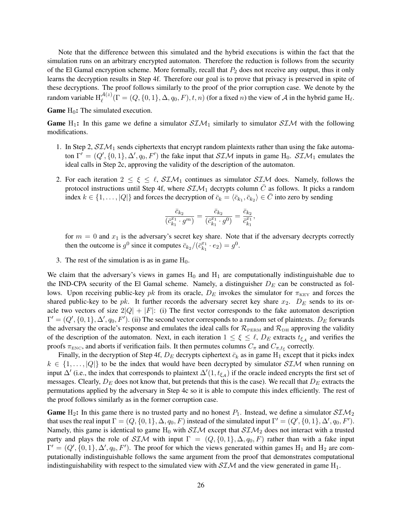Note that the difference between this simulated and the hybrid executions is within the fact that the simulation runs on an arbitrary encrypted automaton. Therefore the reduction is follows from the security of the El Gamal encryption scheme. More formally, recall that  $P_2$  does not receive any output, thus it only learns the decryption results in Step 4f. Therefore our goal is to prove that privacy is preserved in spite of these decryptions. The proof follows similarly to the proof of the prior corruption case. We denote by the random variable  $H_{\ell}^{\mathcal{A}(z)}$  $\mathcal{A}(z)$  ( $\Gamma = (Q, \{0, 1\}, \Delta, q_0, F), t, n)$  (for a fixed n) the view of A in the hybrid game  $H_\ell$ .

**Game**  $H_0$ : The simulated execution.

**Game** H<sub>1</sub>: In this game we define a simulator  $SIM_1$  similarly to simulator  $SIM$  with the following modifications.

- 1. In Step 2,  $\mathcal{SIM}_1$  sends ciphertexts that encrypt random plaintexts rather than using the fake automaton  $\Gamma' = (Q', \{0, 1\}, \Delta', q_0, F')$  the fake input that  $STM$  inputs in game H<sub>0</sub>.  $STM_1$  emulates the ideal calls in Step 2c, approving the validity of the description of the automaton.
- 2. For each iteration  $2 \le \xi \le \ell$ ,  $\mathcal{SIM}_1$  continues as simulator  $\mathcal{SIM}$  does. Namely, follows the protocol instructions until Step 4f, where  $SIM_1$  decrypts column  $\overline{C}$  as follows. It picks a random index  $k \in \{1, \ldots, |Q|\}$  and forces the decryption of  $\bar{c}_k = \langle \bar{c}_{k_1}, \bar{c}_{k_2} \rangle \in \bar{C}$  into zero by sending

$$
\frac{\bar{c}_{k_2}}{(\bar{c}_{k_1}^{x_1}\cdot g^m)}=\frac{\bar{c}_{k_2}}{(\bar{c}_{k_1}^{x_1}\cdot g^0)}=\frac{\bar{c}_{k_2}}{\bar{c}_{k_1}^{x_1}},
$$

for  $m = 0$  and  $x_1$  is the adversary's secret key share. Note that if the adversary decrypts correctly then the outcome is  $g^0$  since it computes  $\bar{c}_{k_2}/(\bar{c}_{k_1}^{x_1})$  $x_1^{x_1} \cdot e_2 = g^0.$ 

3. The rest of the simulation is as in game  $H_0$ .

We claim that the adversary's views in games  $H_0$  and  $H_1$  are computationally indistinguishable due to the IND-CPA security of the El Gamal scheme. Namely, a distinguisher  $D<sub>E</sub>$  can be constructed as follows. Upon receiving public-key pk from its oracle,  $D_E$  invokes the simulator for  $\pi_{\text{KEY}}$  and forces the shared public-key to be pk. It further records the adversary secret key share  $x_2$ .  $D_E$  sends to its oracle two vectors of size  $2|Q| + |F|$ : (i) The first vector corresponds to the fake automaton description  $\Gamma' = (Q', \{0, 1\}, \Delta', q_0, F')$ . (ii) The second vector corresponds to a random set of plaintexts.  $D_E$  forwards the adversary the oracle's response and emulates the ideal calls for  $\mathcal{R}_{\text{PERM}}$  and  $\mathcal{R}_{\text{DH}}$  approving the validity of the description of the automaton. Next, in each iteration  $1 \le \xi \le \ell$ ,  $D_E$  extracts  $t_{\xi_A}$  and verifies the proofs  $\pi_{\text{ENC}}$ , and aborts if verification fails. It then permutes columns  $C_{\pi}$  and  $C_{\pi, t_{\xi}}$  correctly.

Finally, in the decryption of Step 4f,  $D_E$  decrypts ciphertext  $\bar{c}_k$  as in game H<sub>1</sub> except that it picks index  $k \in \{1, \ldots, |Q|\}$  to be the index that would have been decrypted by simulator  $\mathcal{SIM}$  when running on input  $\Delta'$  (i.e., the index that corresponds to plaintext  $\Delta'(1, t_{\xi,\lambda})$  if the oracle indeed encrypts the first set of messages. Clearly,  $D_E$  does not know that, but pretends that this is the case). We recall that  $D_E$  extracts the permutations applied by the adversary in Step 4c so it is able to compute this index efficiently. The rest of the proof follows similarly as in the former corruption case.

**Game** H<sub>2</sub>: In this game there is no trusted party and no honest  $P_1$ . Instead, we define a simulator  $\mathcal{SIM}_2$ that uses the real input  $\Gamma = (Q, \{0, 1\}, \Delta, q_0, F)$  instead of the simulated input  $\Gamma' = (Q', \{0, 1\}, \Delta', q_0, F')$ . Namely, this game is identical to game H<sub>0</sub> with  $SIM$  except that  $SIM_2$  does not interact with a trusted party and plays the role of SIM with input  $\Gamma = (Q, \{0, 1\}, \Delta, q_0, F)$  rather than with a fake input  $\Gamma' = (Q', \{0, 1\}, \Delta', q_0, F')$ . The proof for which the views generated within games H<sub>1</sub> and H<sub>2</sub> are computationally indistinguishable follows the same argument from the proof that demonstrates computational indistinguishability with respect to the simulated view with  $SIM$  and the view generated in game  $H_1$ .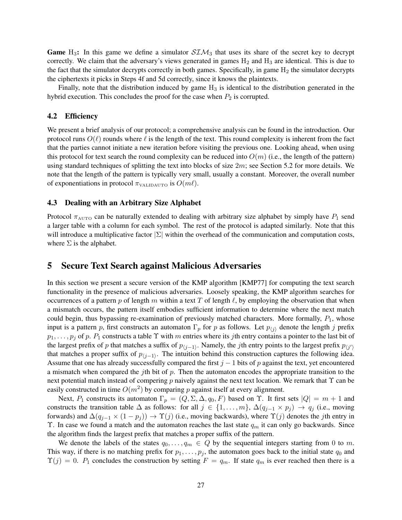**Game** H<sub>3</sub>: In this game we define a simulator  $SLM_3$  that uses its share of the secret key to decrypt correctly. We claim that the adversary's views generated in games  $H_2$  and  $H_3$  are identical. This is due to the fact that the simulator decrypts correctly in both games. Specifically, in game  $H_2$  the simulator decrypts the ciphertexts it picks in Steps 4f and 5d correctly, since it knows the plaintexts.

Finally, note that the distribution induced by game  $H_3$  is identical to the distribution generated in the hybrid execution. This concludes the proof for the case when  $P_2$  is corrupted.

#### 4.2 Efficiency

We present a brief analysis of our protocol; a comprehensive analysis can be found in the introduction. Our protocol runs  $O(\ell)$  rounds where  $\ell$  is the length of the text. This round complexity is inherent from the fact that the parties cannot initiate a new iteration before visiting the previous one. Looking ahead, when using this protocol for text search the round complexity can be reduced into  $O(m)$  (i.e., the length of the pattern) using standard techniques of splitting the text into blocks of size  $2m$ ; see Section 5.2 for more details. We note that the length of the pattern is typically very small, usually a constant. Moreover, the overall number of exponentiations in protocol  $\pi_{\text{VALIDAUTO}}$  is  $O(m\ell)$ .

### 4.3 Dealing with an Arbitrary Size Alphabet

Protocol  $\pi_{\text{AUTO}}$  can be naturally extended to dealing with arbitrary size alphabet by simply have  $P_1$  send a larger table with a column for each symbol. The rest of the protocol is adapted similarly. Note that this will introduce a multiplicative factor  $|\Sigma|$  within the overhead of the communication and computation costs, where  $\Sigma$  is the alphabet.

### 5 Secure Text Search against Malicious Adversaries

In this section we present a secure version of the KMP algorithm [KMP77] for computing the text search functionality in the presence of malicious adversaries. Loosely speaking, the KMP algorithm searches for occurrences of a pattern p of length m within a text T of length  $\ell$ , by employing the observation that when a mismatch occurs, the pattern itself embodies sufficient information to determine where the next match could begin, thus bypassing re-examination of previously matched characters. More formally,  $P_1$ , whose input is a pattern p, first constructs an automaton  $\Gamma_p$  for p as follows. Let  $p_{ij}$  denote the length j prefix  $p_1, \ldots, p_j$  of p.  $P_1$  constructs a table  $\Upsilon$  with m entries where its jth entry contains a pointer to the last bit of the largest prefix of p that matches a suffix of  $p_{(j-1)}$ . Namely, the jth entry points to the largest prefix  $p_{(j')}$ that matches a proper suffix of  $p_{(j-1)}$ . The intuition behind this construction captures the following idea. Assume that one has already successfully compared the first  $j - 1$  bits of p against the text, yet encountered a mismatch when compared the jth bit of  $p$ . Then the automaton encodes the appropriate transition to the next potential match instead of compering p naively against the next text location. We remark that  $\Upsilon$  can be easily constructed in time  $O(m^2)$  by comparing p against itself at every alignment.

Next,  $P_1$  constructs its automaton  $\Gamma_p = (Q, \Sigma, \Delta, q_0, F)$  based on  $\Upsilon$ . It first sets  $|Q| = m + 1$  and constructs the transition table  $\Delta$  as follows: for all  $j \in \{1, \ldots, m\}$ ,  $\Delta(q_{j-1} \times p_j) \rightarrow q_j$  (i.e., moving forwards) and  $\Delta(q_{i-1} \times (1 - p_i)) \to \Upsilon(j)$  (i.e., moving backwards), where  $\Upsilon(j)$  denotes the jth entry in T. In case we found a match and the automaton reaches the last state  $q_m$  it can only go backwards. Since the algorithm finds the largest prefix that matches a proper suffix of the pattern.

We denote the labels of the states  $q_0, \ldots, q_m \in Q$  by the sequential integers starting from 0 to m. This way, if there is no matching prefix for  $p_1, \ldots, p_j$ , the automaton goes back to the initial state  $q_0$  and  $\Upsilon(j) = 0$ .  $P_1$  concludes the construction by setting  $F = q_m$ . If state  $q_m$  is ever reached then there is a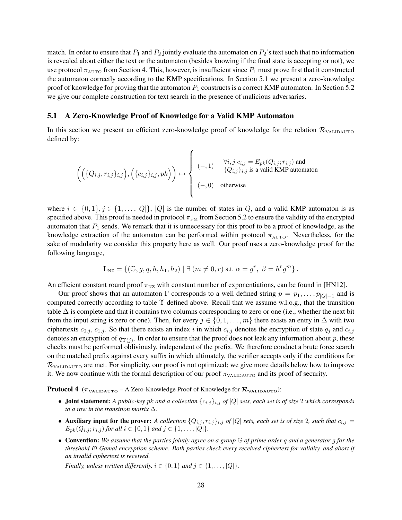match. In order to ensure that  $P_1$  and  $P_2$  jointly evaluate the automaton on  $P_2$ 's text such that no information is revealed about either the text or the automaton (besides knowing if the final state is accepting or not), we use protocol  $\pi_{\text{AUTO}}$  from Section 4. This, however, is insufficient since  $P_1$  must prove first that it constructed the automaton correctly according to the KMP specifications. In Section 5.1 we present a zero-knowledge proof of knowledge for proving that the automaton  $P_1$  constructs is a correct KMP automaton. In Section 5.2 we give our complete construction for text search in the presence of malicious adversaries.

### 5.1 A Zero-Knowledge Proof of Knowledge for a Valid KMP Automaton

In this section we present an efficient zero-knowledge proof of knowledge for the relation  $\mathcal{R}_{\text{VALIDAUTO}}$ defined by:

$$
\left(\Big(\{Q_{i,j},r_{i,j}\}_{i,j}\Big),\Big(\{c_{i,j}\}_{i,j},pk\Big)\right)\mapsto\left\{\begin{array}{cc}(-,1)&\forall i,j\ c_{i,j}\}_{i,j}\ \text{is a valid KMP automaton} \\ (-,0)&\text{otherwise}\end{array}\right.
$$

where  $i \in \{0,1\}, j \in \{1,\ldots, |Q|\}, |Q|$  is the number of states in Q, and a valid KMP automaton is as specified above. This proof is needed in protocol  $\pi_{PM}$  from Section 5.2 to ensure the validity of the encrypted automaton that  $P_1$  sends. We remark that it is unnecessary for this proof to be a proof of knowledge, as the knowledge extraction of the automaton can be performed within protocol  $\pi_{\text{AUTO}}$ . Nevertheless, for the sake of modularity we consider this property here as well. Our proof uses a zero-knowledge proof for the following language,

$$
L_{\rm NZ} = \{ (\mathbb{G}, g, q, h, h_1, h_2) \mid \exists (m \neq 0, r) \text{ s.t. } \alpha = g^r, \ \beta = h^r g^m \}.
$$

An efficient constant round proof  $\pi_{NZ}$  with constant number of exponentiations, can be found in [HN12].

Our proof shows that an automaton  $\Gamma$  corresponds to a well defined string  $p = p_1, \ldots, p_{|O|-1}$  and is computed correctly according to table Υ defined above. Recall that we assume w.l.o.g., that the transition table ∆ is complete and that it contains two columns corresponding to zero or one (i.e., whether the next bit from the input string is zero or one). Then, for every  $j \in \{0, 1, \ldots, m\}$  there exists an entry in  $\Delta$  with two ciphertexts  $c_{0,j}$ ,  $c_{1,j}$ . So that there exists an index i in which  $c_{i,j}$  denotes the encryption of state  $q_j$  and  $c_{i,j}$ denotes an encryption of  $q_{\Upsilon(j)}$ . In order to ensure that the proof does not leak any information about p, these checks must be performed obliviously, independent of the prefix. We therefore conduct a brute force search on the matched prefix against every suffix in which ultimately, the verifier accepts only if the conditions for  $\mathcal{R}_{\text{VALIDAVTO}}$  are met. For simplicity, our proof is not optimized; we give more details below how to improve it. We now continue with the formal description of our proof  $\pi_{\text{VALIDAUTO}}$  and its proof of security.

### **Protocol 4** ( $\pi_{\text{VALIDAUTO}} - A$  Zero-Knowledge Proof of Knowledge for  $\mathcal{R}_{\text{VALIDAUTO}}$ ):

- **Joint statement:** A public-key pk and a collection  $\{c_{i,j}\}_{i,j}$  of  $|Q|$  sets, each set is of size 2 which corresponds *to a row in the transition matrix* ∆*.*
- Auxiliary input for the prover: *A collection*  $\{Q_{i,j}, r_{i,j}\}_{i,j}$  *of*  $|Q|$  *sets, each set is of size* 2*, such that*  $c_{i,j}$  =  $E_{pk}(Q_{i,j}; r_{i,j})$  *for all*  $i \in \{0, 1\}$  *and*  $j \in \{1, ..., |Q|\}$ *.*
- Convention: *We assume that the parties jointly agree on a group* G *of prime order* q *and a generator* g *for the threshold El Gamal encryption scheme. Both parties check every received ciphertext for validity, and abort if an invalid ciphertext is received.*

*Finally, unless written differently,*  $i \in \{0, 1\}$  *and*  $j \in \{1, ..., |Q|\}$ *.*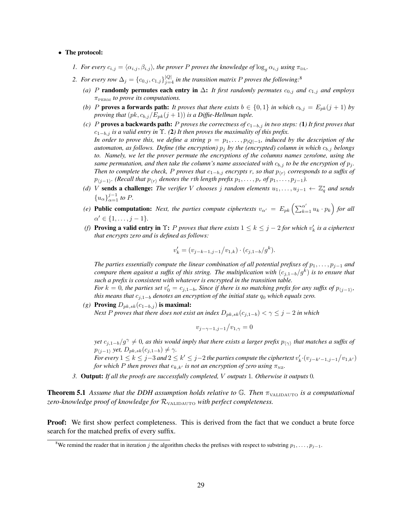#### • The protocol:

- *1. For every*  $c_{i,j} = \langle \alpha_{i,j}, \beta_{i,j} \rangle$ , the prover P proves the knowledge of  $\log_q \alpha_{i,j}$  *using*  $\pi_{\text{DL}}$ *.*
- 2. For every row  $\Delta_j = \{c_{0,j}, c_{1,j}\}_{j=4}^{|Q|}$  in the transition matrix P proves the following:<sup>8</sup>
	- *(a)* P randomly permutes each entry in ∆: *It first randomly permutes* c0,j *and* c1,j *and employs*  $\pi_{\text{PERM}}$  *to prove its computations.*
	- *(b)* P proves a forwards path: *It proves that there exists*  $b \in \{0,1\}$  *in which*  $c_{b,j} = E_{pk}(j+1)$  *by proving that*  $(pk, c_{b,j}/E_{pk}(j + 1))$  *is a Diffie-Hellman tuple.*
	- *(c)* P proves a backwards path: P *proves the correctness of*  $c_{1-b,j}$  *in two steps: (1) It first proves that* c1−b,j *is a valid entry in* Υ*. (*2*) It then proves the maximality of this prefix. In order to prove this, we define a string*  $p = p_1, \ldots, p_{|Q|-1}$ *, induced by the description of the automaton, as follows. Define (the encryption)* p<sup>j</sup> *by the (encrypted) column in which* cb,j *belongs to. Namely, we let the prover permute the encryptions of the columns names zero/one, using the same permutation, and then take the column's name associated with*  $c_{b,j}$  *to be the encryption of*  $p_j$ *. Then to complete the check,* P *proves that*  $c_{1-b,j}$  *encrypts* r, so that  $p_{(r)}$  *corresponds to a suffix of*  $p_{(j-1)}$ . (Recall that  $p_{\langle r \rangle}$  denotes the rth length prefix  $p_1, \ldots, p_r$  of  $p_1, \ldots, p_{j-1}$ ).
	- *(d)* V **sends a challenge:** The verifier V chooses j random elements  $u_1, \ldots, u_{j-1}$  ←  $\mathbb{Z}_q^*$  and sends  ${u_{\alpha}\}_{\alpha=1}^{j-1}$  to P.
	- *(e)* Public computation: *Next, the parties compute ciphertexts*  $v_{\alpha'} = E_{pk} \left( \sum_{k=1}^{\alpha'} u_k \cdot p_k \right)$  for all  $\alpha' \in \{1, \ldots, j-1\}.$
	- *(f)* Proving a valid entry in  $\Upsilon$ : P proves that there exists  $1 \leq k \leq j-2$  for which  $v'_k$  is a ciphertext *that encrypts zero and is defined as follows:*

$$
v'_{k} = (v_{j-k-1,j-1}/v_{1,k}) \cdot (c_{j,1-b}/g^{k}).
$$

*The parties essentially compute the linear combination of all potential prefixes of*  $p_1, \ldots, p_{i-1}$  *and compare them against a suffix of this string. The multiplication with*  $(c_{j,1-b}/g^k)$  *is to ensure that such a prefix is consistent with whatever is encrypted in the transition table.*

*For*  $k = 0$ , the parties set  $v'_0 = c_{j,1-b}$ , Since if there is no matching prefix for any suffix of  $p_{(j-1)}$ , *this means that*  $c_{j,1-b}$  *denotes an encryption of the initial state*  $q_0$  *which equals zero.* 

*(g)* Proving  $D_{pk,sk}(c_{1-b,j})$  is maximal:

*Next* P *proves that there does not exist an index*  $D_{pk,sk}(c_{j,1-b}) < \gamma \leq j-2$  *in which* 

$$
v_{j-\gamma-1,j-1}/v_{1,\gamma}=0
$$

 $y$ et  $c_{j,1-b}/g^\gamma \neq 0$ , as this would imply that there exists a larger prefix  $p_{\langle\gamma\rangle}$  that matches a suffix of  $p_{\langle j-1 \rangle}$  *yet,*  $D_{pk,sk}(c_{j,1-b}) \neq \gamma$ *.* 

For every  $1\leq k\leq j-3$  and  $2\leq k'\leq j-2$  the parties compute the ciphertext  $v_k'.(v_{j-k'-1,j-1}/v_{1,k'})$ *for which* P *then proves that*  $e_{k,k'}$  *is not an encryption of zero using*  $\pi_{\text{NZ}}$ *.* 

*3.* Output: *If all the proofs are successfully completed,* V *outputs* 1*. Otherwise it outputs* 0*.*

**Theorem 5.1** Assume that the DDH assumption holds relative to  $\mathbb{G}$ . Then  $\pi_{\text{VALIDAUTO}}$  is a computational zero-knowledge proof of knowledge for  $\mathcal{R}_{\text{VALIDAUTO}}$  with perfect completeness.

**Proof:** We first show perfect completeness. This is derived from the fact that we conduct a brute force search for the matched prefix of every suffix.

<sup>&</sup>lt;sup>8</sup>We remind the reader that in iteration j the algorithm checks the prefixes with respect to substring  $p_1, \ldots, p_{i-1}$ .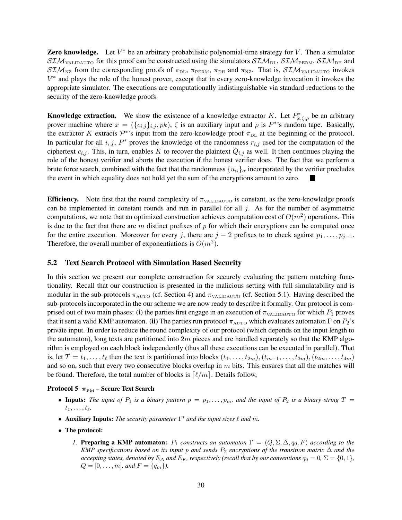**Zero knowledge.** Let  $V^*$  be an arbitrary probabilistic polynomial-time strategy for  $V$ . Then a simulator  $SIM_{\text{VALIDAVTO}}$  for this proof can be constructed using the simulators  $SIM_{\text{DL}}$ ,  $SIM_{\text{PERM}}$ ,  $SIM_{\text{DH}}$  and  $STM_{\text{NZ}}$  from the corresponding proofs of  $\pi_{\text{DL}}$ ,  $\pi_{\text{PERM}}$ ,  $\pi_{\text{DH}}$  and  $\pi_{\text{NZ}}$ . That is,  $STM_{\text{VALIDAVTO}}$  invokes V ∗ and plays the role of the honest prover, except that in every zero-knowledge invocation it invokes the appropriate simulator. The executions are computationally indistinguishable via standard reductions to the security of the zero-knowledge proofs.

**Knowledge extraction.** We show the existence of a knowledge extractor K. Let  $P_{x,\zeta,\rho}^*$  be an arbitrary prover machine where  $x = (\{c_{i,j}\}_{i,j}, pk)$ ,  $\zeta$  is an auxiliary input and  $\rho$  is  $P^{**}$ s random tape. Basically, the extractor K extracts  $\mathcal{P}^*$ 's input from the zero-knowledge proof  $\pi_{\text{DL}}$  at the beginning of the protocol. In particular for all i, j,  $P^*$  proves the knowledge of the randomness  $r_{i,j}$  used for the computation of the ciphertext  $c_{i,j}$ . This, in turn, enables K to recover the plaintext  $Q_{i,j}$  as well. It then continues playing the role of the honest verifier and aborts the execution if the honest verifier does. The fact that we perform a brute force search, combined with the fact that the randomness  $\{u_{\alpha}\}_\alpha$  incorporated by the verifier precludes the event in which equality does not hold yet the sum of the encryptions amount to zero. **The Co** 

**Efficiency.** Note first that the round complexity of  $\pi_{\text{VALIDAUTO}}$  is constant, as the zero-knowledge proofs can be implemented in constant rounds and run in parallel for all  $j$ . As for the number of asymmetric computations, we note that an optimized construction achieves computation cost of  $O(m^2)$  operations. This is due to the fact that there are  $m$  distinct prefixes of  $p$  for which their encryptions can be computed once for the entire execution. Moreover for every j, there are  $j - 2$  prefixes to to check against  $p_1, \ldots, p_{j-1}$ . Therefore, the overall number of exponentiations is  $O(m^2)$ .

### 5.2 Text Search Protocol with Simulation Based Security

In this section we present our complete construction for securely evaluating the pattern matching functionality. Recall that our construction is presented in the malicious setting with full simulatability and is modular in the sub-protocols  $\pi_{\text{AUTO}}$  (cf. Section 4) and  $\pi_{\text{VALIDAVTO}}$  (cf. Section 5.1). Having described the sub-protocols incorporated in the our scheme we are now ready to describe it formally. Our protocol is comprised out of two main phases: (i) the parties first engage in an execution of  $\pi_{\text{VALIDAUTO}}$  for which  $P_1$  proves that it sent a valid KMP automaton. (ii) The parties run protocol  $\pi_{\text{AUTO}}$  which evaluates automaton  $\Gamma$  on  $P_2$ 's private input. In order to reduce the round complexity of our protocol (which depends on the input length to the automaton), long texts are partitioned into  $2m$  pieces and are handled separately so that the KMP algorithm is employed on each block independently (thus all these executions can be executed in parallel). That is, let  $T = t_1, \ldots, t_\ell$  then the text is partitioned into blocks  $(t_1, \ldots, t_{2m})$ ,  $(t_{m+1}, \ldots, t_{3m})$ ,  $(t_{2m}, \ldots, t_{4m})$ and so on, such that every two consecutive blocks overlap in  $m$  bits. This ensures that all the matches will be found. Therefore, the total number of blocks is  $\lceil \ell/m \rceil$ . Details follow,

#### **Protocol 5**  $\pi_{\text{PM}}$  – Secure Text Search

- **Inputs:** The input of  $P_1$  is a binary pattern  $p = p_1, \ldots, p_m$ , and the input of  $P_2$  is a binary string  $T =$  $t_1, \ldots, t_\ell.$
- Auxiliary Inputs: The security parameter  $1^n$  and the input sizes  $\ell$  and  $m$ .
- The protocol:
	- *1.* Preparing a KMP automaton:  $P_1$  constructs an automaton  $\Gamma = (Q, \Sigma, \Delta, q_0, F)$  according to the *KMP specifications based on its input* p *and sends*  $P_2$  *encryptions of the transition matrix*  $\Delta$  *and the accepting states, denoted by*  $E_{\Delta}$  *and*  $E_F$ *, respectively (recall that by our conventions*  $q_0 = 0$ ,  $\Sigma = \{0, 1\}$ *,*  $Q = [0, \ldots, m]$ *, and*  $F = \{q_m\}$ *)*.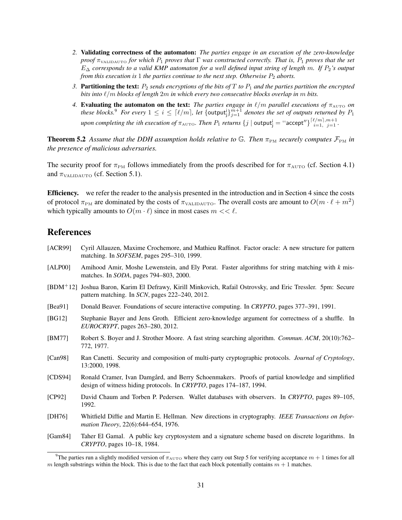- *2.* Validating correctness of the automaton: *The parties engage in an execution of the zero-knowledge proof*  $\pi_{\text{VALIDAVTO}}$  *for which*  $P_1$  *proves that*  $\Gamma$  *was constructed correctly. That is,*  $P_1$  *proves that the set* E<sup>∆</sup> *corresponds to a valid KMP automaton for a well defined input string of length* m*. If* P2*'s output from this execution is* 1 *the parties continue to the next step. Otherwise*  $P_2$  *aborts.*
- *3.* **Partitioning the text:**  $P_2$  *sends encryptions of the bits of*  $T$  *to*  $P_1$  *and the parties partition the encrypted bits into*  $\ell/m$  *blocks of length*  $2m$  *in which every two consecutive blocks overlap in* m *bits.*
- *4.* Evaluating the automaton on the text: The parties engage in  $\ell/m$  parallel executions of  $\pi_{\text{AUTO}}$  on these blocks.<sup>9</sup> For every  $1 \leq i \leq \lceil \ell/m \rceil$ , let  $\{\textsf{output}_j^i\}_{j=1}^{m+1}$  denotes the set of outputs returned by  $P_1$ *upon completing the ith execution of*  $\pi_{\text{AUTO}}$ . Then  $P_1$  *returns*  $\{j \mid \text{output}_{j}^{i} = "accept" \}_{i=1, j=1}^{\lceil \ell/m \rceil, m+1}$ .

**Theorem 5.2** Assume that the DDH assumption holds relative to  $\mathbb{G}$ . Then  $\pi_{PM}$  securely computes  $\mathcal{F}_{PM}$  in *the presence of malicious adversaries.*

The security proof for  $\pi_{PM}$  follows immediately from the proofs described for for  $\pi_{AUTO}$  (cf. Section 4.1) and  $\pi_{\text{VALU}\rightarrow\text{U}}$  (cf. Section 5.1).

Efficiency. we refer the reader to the analysis presented in the introduction and in Section 4 since the costs of protocol  $\pi_{PM}$  are dominated by the costs of  $\pi_{VALIDAVTO}$ . The overall costs are amount to  $O(m \cdot \ell + m^2)$ which typically amounts to  $O(m \cdot \ell)$  since in most cases  $m \ll \ell$ .

# References

- [ACR99] Cyril Allauzen, Maxime Crochemore, and Mathieu Raffinot. Factor oracle: A new structure for pattern matching. In *SOFSEM*, pages 295–310, 1999.
- [ALP00] Amihood Amir, Moshe Lewenstein, and Ely Porat. Faster algorithms for string matching with *k* mismatches. In *SODA*, pages 794–803, 2000.
- [BDM<sup>+</sup>12] Joshua Baron, Karim El Defrawy, Kirill Minkovich, Rafail Ostrovsky, and Eric Tressler. 5pm: Secure pattern matching. In *SCN*, pages 222–240, 2012.
- [Bea91] Donald Beaver. Foundations of secure interactive computing. In *CRYPTO*, pages 377–391, 1991.
- [BG12] Stephanie Bayer and Jens Groth. Efficient zero-knowledge argument for correctness of a shuffle. In *EUROCRYPT*, pages 263–280, 2012.
- [BM77] Robert S. Boyer and J. Strother Moore. A fast string searching algorithm. *Commun. ACM*, 20(10):762– 772, 1977.
- [Can98] Ran Canetti. Security and composition of multi-party cryptographic protocols. *Journal of Cryptology*, 13:2000, 1998.
- [CDS94] Ronald Cramer, Ivan Damgård, and Berry Schoenmakers. Proofs of partial knowledge and simplified design of witness hiding protocols. In *CRYPTO*, pages 174–187, 1994.
- [CP92] David Chaum and Torben P. Pedersen. Wallet databases with observers. In *CRYPTO*, pages 89–105, 1992.
- [DH76] Whitfield Diffie and Martin E. Hellman. New directions in cryptography. *IEEE Transactions on Information Theory*, 22(6):644–654, 1976.
- [Gam84] Taher El Gamal. A public key cryptosystem and a signature scheme based on discrete logarithms. In *CRYPTO*, pages 10–18, 1984.

<sup>&</sup>lt;sup>9</sup>The parties run a slightly modified version of  $\pi_{\text{AUTO}}$  where they carry out Step 5 for verifying acceptance  $m + 1$  times for all m length substrings within the block. This is due to the fact that each block potentially contains  $m + 1$  matches.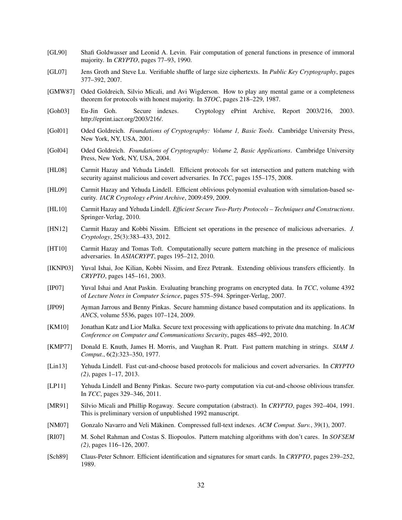- [GL90] Shafi Goldwasser and Leonid A. Levin. Fair computation of general functions in presence of immoral majority. In *CRYPTO*, pages 77–93, 1990.
- [GL07] Jens Groth and Steve Lu. Verifiable shuffle of large size ciphertexts. In *Public Key Cryptography*, pages 377–392, 2007.
- [GMW87] Oded Goldreich, Silvio Micali, and Avi Wigderson. How to play any mental game or a completeness theorem for protocols with honest majority. In *STOC*, pages 218–229, 1987.
- [Goh03] Eu-Jin Goh. Secure indexes. Cryptology ePrint Archive, Report 2003/216, 2003. http://eprint.iacr.org/2003/216/.
- [Gol01] Oded Goldreich. *Foundations of Cryptography: Volume 1, Basic Tools*. Cambridge University Press, New York, NY, USA, 2001.
- [Gol04] Oded Goldreich. *Foundations of Cryptography: Volume 2, Basic Applications*. Cambridge University Press, New York, NY, USA, 2004.
- [HL08] Carmit Hazay and Yehuda Lindell. Efficient protocols for set intersection and pattern matching with security against malicious and covert adversaries. In *TCC*, pages 155–175, 2008.
- [HL09] Carmit Hazay and Yehuda Lindell. Efficient oblivious polynomial evaluation with simulation-based security. *IACR Cryptology ePrint Archive*, 2009:459, 2009.
- [HL10] Carmit Hazay and Yehuda Lindell. *Efficient Secure Two-Party Protocols Techniques and Constructions*. Springer-Verlag, 2010.
- [HN12] Carmit Hazay and Kobbi Nissim. Efficient set operations in the presence of malicious adversaries. *J. Cryptology*, 25(3):383–433, 2012.
- [HT10] Carmit Hazay and Tomas Toft. Computationally secure pattern matching in the presence of malicious adversaries. In *ASIACRYPT*, pages 195–212, 2010.
- [IKNP03] Yuval Ishai, Joe Kilian, Kobbi Nissim, and Erez Petrank. Extending oblivious transfers efficiently. In *CRYPTO*, pages 145–161, 2003.
- [IP07] Yuval Ishai and Anat Paskin. Evaluating branching programs on encrypted data. In *TCC*, volume 4392 of *Lecture Notes in Computer Science*, pages 575–594. Springer-Verlag, 2007.
- [JP09] Ayman Jarrous and Benny Pinkas. Secure hamming distance based computation and its applications. In *ANCS*, volume 5536, pages 107–124, 2009.
- [KM10] Jonathan Katz and Lior Malka. Secure text processing with applications to private dna matching. In *ACM Conference on Computer and Communications Security*, pages 485–492, 2010.
- [KMP77] Donald E. Knuth, James H. Morris, and Vaughan R. Pratt. Fast pattern matching in strings. *SIAM J. Comput.*, 6(2):323–350, 1977.
- [Lin13] Yehuda Lindell. Fast cut-and-choose based protocols for malicious and covert adversaries. In *CRYPTO (2)*, pages 1–17, 2013.
- [LP11] Yehuda Lindell and Benny Pinkas. Secure two-party computation via cut-and-choose oblivious transfer. In *TCC*, pages 329–346, 2011.
- [MR91] Silvio Micali and Phillip Rogaway. Secure computation (abstract). In *CRYPTO*, pages 392–404, 1991. This is preliminary version of unpublished 1992 manuscript.
- [NM07] Gonzalo Navarro and Veli Mäkinen. Compressed full-text indexes. *ACM Comput. Surv.*, 39(1), 2007.
- [RI07] M. Sohel Rahman and Costas S. Iliopoulos. Pattern matching algorithms with don't cares. In *SOFSEM (2)*, pages 116–126, 2007.
- [Sch89] Claus-Peter Schnorr. Efficient identification and signatures for smart cards. In *CRYPTO*, pages 239–252, 1989.